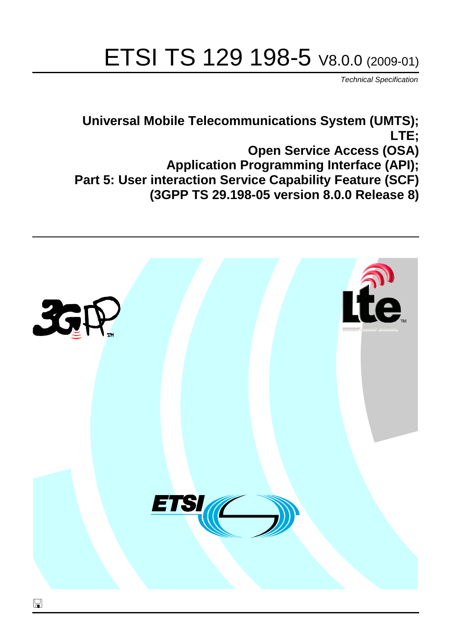# ETSI TS 129 198-5 V8.0.0 (2009-01)

*Technical Specification*

**Universal Mobile Telecommunications System (UMTS); LTE; Open Service Access (OSA) Application Programming Interface (API); Part 5: User interaction Service Capability Feature (SCF) (3GPP TS 29.198-05 version 8.0.0 Release 8)**

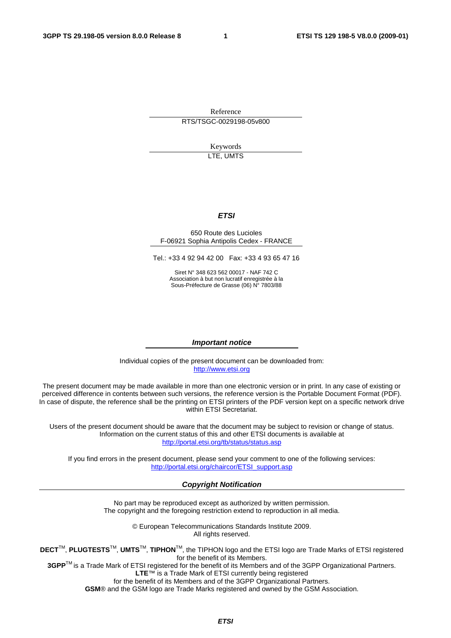Reference RTS/TSGC-0029198-05v800

Keywords LTE, UMTS

#### *ETSI*

#### 650 Route des Lucioles F-06921 Sophia Antipolis Cedex - FRANCE

Tel.: +33 4 92 94 42 00 Fax: +33 4 93 65 47 16

Siret N° 348 623 562 00017 - NAF 742 C Association à but non lucratif enregistrée à la Sous-Préfecture de Grasse (06) N° 7803/88

#### *Important notice*

Individual copies of the present document can be downloaded from: [http://www.etsi.org](http://www.etsi.org/)

The present document may be made available in more than one electronic version or in print. In any case of existing or perceived difference in contents between such versions, the reference version is the Portable Document Format (PDF). In case of dispute, the reference shall be the printing on ETSI printers of the PDF version kept on a specific network drive within ETSI Secretariat.

Users of the present document should be aware that the document may be subject to revision or change of status. Information on the current status of this and other ETSI documents is available at <http://portal.etsi.org/tb/status/status.asp>

If you find errors in the present document, please send your comment to one of the following services: [http://portal.etsi.org/chaircor/ETSI\\_support.asp](http://portal.etsi.org/chaircor/ETSI_support.asp)

#### *Copyright Notification*

No part may be reproduced except as authorized by written permission. The copyright and the foregoing restriction extend to reproduction in all media.

> © European Telecommunications Standards Institute 2009. All rights reserved.

**DECT**TM, **PLUGTESTS**TM, **UMTS**TM, **TIPHON**TM, the TIPHON logo and the ETSI logo are Trade Marks of ETSI registered for the benefit of its Members.

**3GPP**TM is a Trade Mark of ETSI registered for the benefit of its Members and of the 3GPP Organizational Partners. **LTE**™ is a Trade Mark of ETSI currently being registered

for the benefit of its Members and of the 3GPP Organizational Partners.

**GSM**® and the GSM logo are Trade Marks registered and owned by the GSM Association.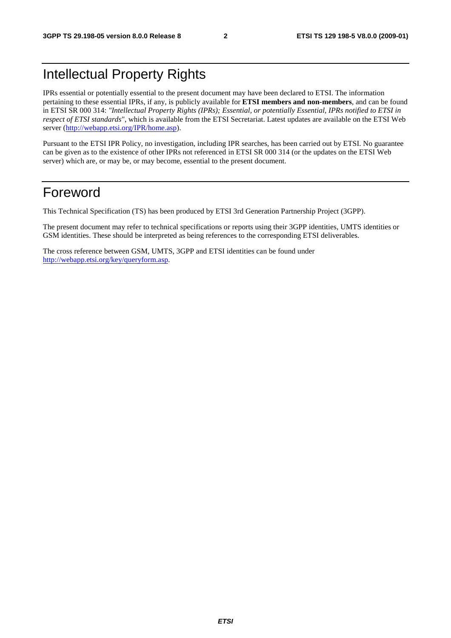# Intellectual Property Rights

IPRs essential or potentially essential to the present document may have been declared to ETSI. The information pertaining to these essential IPRs, if any, is publicly available for **ETSI members and non-members**, and can be found in ETSI SR 000 314: *"Intellectual Property Rights (IPRs); Essential, or potentially Essential, IPRs notified to ETSI in respect of ETSI standards"*, which is available from the ETSI Secretariat. Latest updates are available on the ETSI Web server [\(http://webapp.etsi.org/IPR/home.asp](http://webapp.etsi.org/IPR/home.asp)).

Pursuant to the ETSI IPR Policy, no investigation, including IPR searches, has been carried out by ETSI. No guarantee can be given as to the existence of other IPRs not referenced in ETSI SR 000 314 (or the updates on the ETSI Web server) which are, or may be, or may become, essential to the present document.

# Foreword

This Technical Specification (TS) has been produced by ETSI 3rd Generation Partnership Project (3GPP).

The present document may refer to technical specifications or reports using their 3GPP identities, UMTS identities or GSM identities. These should be interpreted as being references to the corresponding ETSI deliverables.

The cross reference between GSM, UMTS, 3GPP and ETSI identities can be found under <http://webapp.etsi.org/key/queryform.asp>.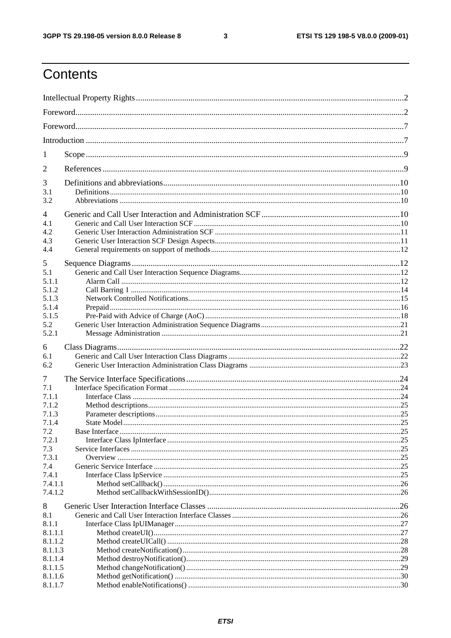$\mathbf{3}$ 

# Contents

| 1                                                                        |  |
|--------------------------------------------------------------------------|--|
| 2                                                                        |  |
| 3<br>3.1<br>3.2                                                          |  |
| $\overline{4}$<br>4.1<br>4.2<br>4.3<br>4.4                               |  |
| 5<br>5.1<br>5.1.1<br>5.1.2<br>5.1.3<br>5.1.4<br>5.1.5<br>5.2<br>5.2.1    |  |
| 6<br>6.1<br>6.2                                                          |  |
| 7<br>7.1<br>7.1.1<br>7.1.2<br>7.1.3<br>7.1.4                             |  |
| 7.2<br>7.2.1<br>7.3<br>7.3.1<br>7.4<br>7.4.1<br>7.4.1.1<br>7.4.1.2       |  |
| 8<br>8.1<br>8.1.1<br>8.1.1.1<br>8.1.1.2<br>8.1.1.3<br>8.1.1.4<br>8.1.1.5 |  |
| 8.1.1.6<br>8.1.1.7                                                       |  |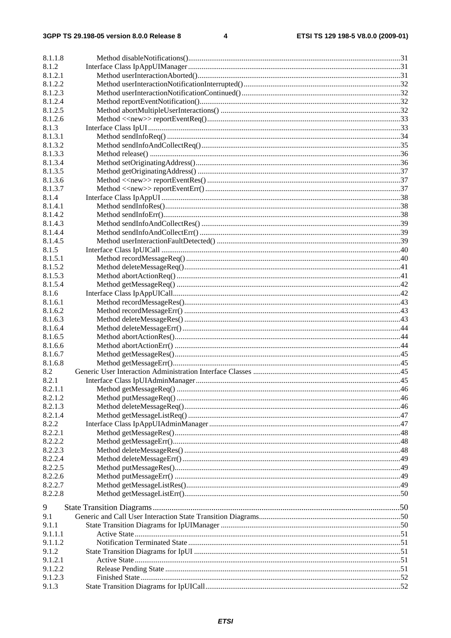| 8.1.1.8 |  |
|---------|--|
| 8.1.2   |  |
| 8.1.2.1 |  |
| 8.1.2.2 |  |
| 8.1.2.3 |  |
| 8.1.2.4 |  |
| 8.1.2.5 |  |
|         |  |
| 8.1.2.6 |  |
| 8.1.3   |  |
| 8.1.3.1 |  |
| 8.1.3.2 |  |
| 8.1.3.3 |  |
| 8.1.3.4 |  |
| 8.1.3.5 |  |
| 8.1.3.6 |  |
| 8.1.3.7 |  |
| 8.1.4   |  |
| 8.1.4.1 |  |
| 8.1.4.2 |  |
| 8.1.4.3 |  |
| 8.1.4.4 |  |
| 8.1.4.5 |  |
| 8.1.5   |  |
| 8.1.5.1 |  |
| 8.1.5.2 |  |
| 8.1.5.3 |  |
| 8.1.5.4 |  |
| 8.1.6   |  |
| 8.1.6.1 |  |
| 8.1.6.2 |  |
| 8.1.6.3 |  |
| 8.1.6.4 |  |
| 8.1.6.5 |  |
| 8.1.6.6 |  |
| 8.1.6.7 |  |
| 8.1.6.8 |  |
| 8.2     |  |
| 8.2.1   |  |
| 8.2.1.1 |  |
| 8.2.1.2 |  |
| 8.2.1.3 |  |
|         |  |
| 8.2.1.4 |  |
| 8.2.2   |  |
| 8.2.2.1 |  |
| 8.2.2.2 |  |
| 8.2.2.3 |  |
| 8.2.2.4 |  |
| 8.2.2.5 |  |
| 8.2.2.6 |  |
| 8.2.2.7 |  |
| 8.2.2.8 |  |
| 9       |  |
|         |  |
| 9.1     |  |
| 9.1.1   |  |
| 9.1.1.1 |  |
| 9.1.1.2 |  |
| 9.1.2   |  |
| 9.1.2.1 |  |
| 9.1.2.2 |  |
| 9.1.2.3 |  |
| 9.1.3   |  |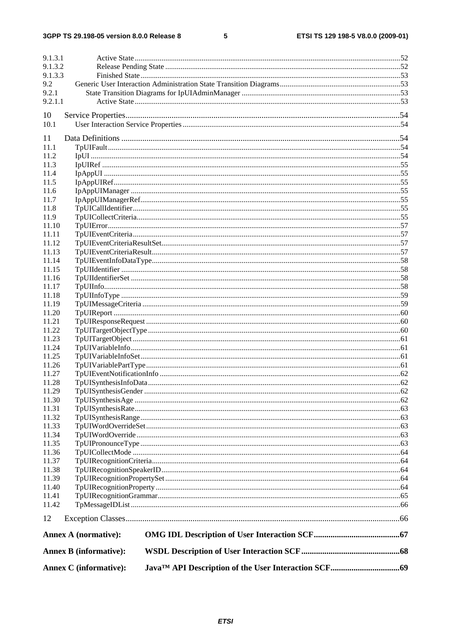#### $5\phantom{a}$

| 9.1.3.1        |                               |  |  |  |  |  |
|----------------|-------------------------------|--|--|--|--|--|
| 9.1.3.2        |                               |  |  |  |  |  |
| 9.1.3.3        |                               |  |  |  |  |  |
| 9.2            |                               |  |  |  |  |  |
| 9.2.1          |                               |  |  |  |  |  |
| 9.2.1.1        |                               |  |  |  |  |  |
| 10             |                               |  |  |  |  |  |
| 10.1           |                               |  |  |  |  |  |
|                |                               |  |  |  |  |  |
| 11             |                               |  |  |  |  |  |
| 11.1           |                               |  |  |  |  |  |
| 11.2<br>11.3   |                               |  |  |  |  |  |
| 11.4           |                               |  |  |  |  |  |
| 11.5           |                               |  |  |  |  |  |
| 11.6           |                               |  |  |  |  |  |
| 11.7           |                               |  |  |  |  |  |
| 11.8           |                               |  |  |  |  |  |
| 11.9           |                               |  |  |  |  |  |
| 11.10          |                               |  |  |  |  |  |
| 11.11          |                               |  |  |  |  |  |
| 11.12          |                               |  |  |  |  |  |
| 11.13          |                               |  |  |  |  |  |
| 11.14          |                               |  |  |  |  |  |
| 11.15          |                               |  |  |  |  |  |
| 11.16<br>11.17 |                               |  |  |  |  |  |
| 11.18          |                               |  |  |  |  |  |
| 11.19          |                               |  |  |  |  |  |
| 11.20          |                               |  |  |  |  |  |
| 11.21          |                               |  |  |  |  |  |
| 11.22          |                               |  |  |  |  |  |
| 11.23          |                               |  |  |  |  |  |
| 11.24          |                               |  |  |  |  |  |
| 11.25          |                               |  |  |  |  |  |
| 11.26          |                               |  |  |  |  |  |
| 11.27          |                               |  |  |  |  |  |
| 11.28          |                               |  |  |  |  |  |
| 11.29          |                               |  |  |  |  |  |
| 11.30          |                               |  |  |  |  |  |
| 11.31<br>11.32 |                               |  |  |  |  |  |
| 11.33          |                               |  |  |  |  |  |
| 11.34          |                               |  |  |  |  |  |
| 11.35          |                               |  |  |  |  |  |
| 11.36          |                               |  |  |  |  |  |
| 11.37          |                               |  |  |  |  |  |
| 11.38          |                               |  |  |  |  |  |
| 11.39          |                               |  |  |  |  |  |
| 11.40          |                               |  |  |  |  |  |
| 11.41          |                               |  |  |  |  |  |
| 11.42          |                               |  |  |  |  |  |
| 12             |                               |  |  |  |  |  |
|                | <b>Annex A (normative):</b>   |  |  |  |  |  |
|                | <b>Annex B</b> (informative): |  |  |  |  |  |
|                | <b>Annex C</b> (informative): |  |  |  |  |  |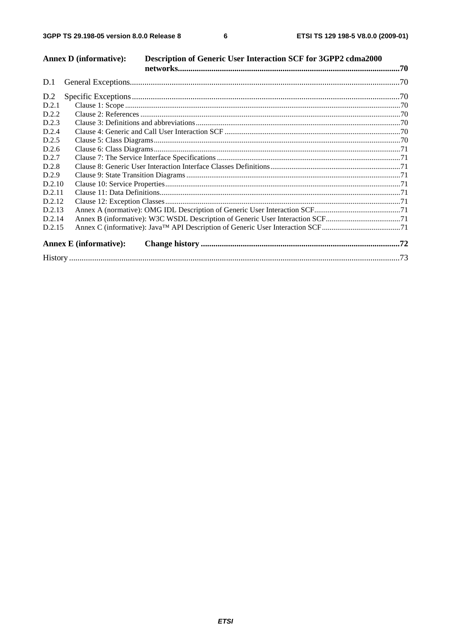| D.2.3<br>D.2.5<br>D.2.7<br>D.2.8 | <b>Annex D</b> (informative):<br>D.2.2<br>D.2.4<br>D.2.6<br>D.2.9<br>D.2.10<br>D.2.11<br>D.2.12<br>D.2.13<br>D.2.14<br>D.2.15<br><b>Annex E</b> (informative): | Description of Generic User Interaction SCF for 3GPP2 cdma2000 |
|----------------------------------|----------------------------------------------------------------------------------------------------------------------------------------------------------------|----------------------------------------------------------------|

**ETSI**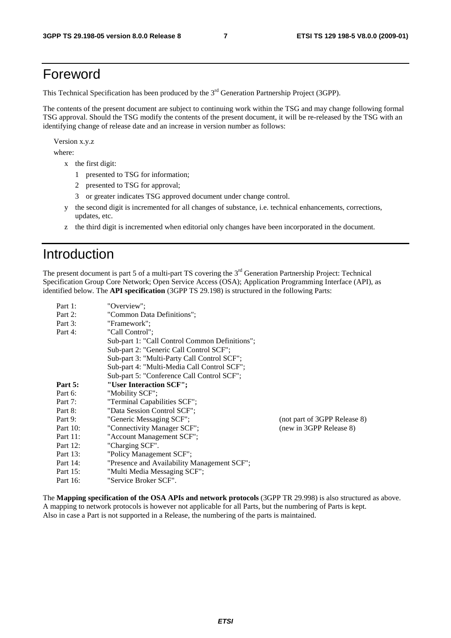# Foreword

This Technical Specification has been produced by the 3<sup>rd</sup> Generation Partnership Project (3GPP).

The contents of the present document are subject to continuing work within the TSG and may change following formal TSG approval. Should the TSG modify the contents of the present document, it will be re-released by the TSG with an identifying change of release date and an increase in version number as follows:

Version x.y.z

where:

- x the first digit:
	- 1 presented to TSG for information;
	- 2 presented to TSG for approval;
	- 3 or greater indicates TSG approved document under change control.
- y the second digit is incremented for all changes of substance, i.e. technical enhancements, corrections, updates, etc.
- z the third digit is incremented when editorial only changes have been incorporated in the document.

# Introduction

The present document is part 5 of a multi-part TS covering the 3<sup>rd</sup> Generation Partnership Project: Technical Specification Group Core Network; Open Service Access (OSA); Application Programming Interface (API), as identified below. The **API specification** (3GPP TS 29.198) is structured in the following Parts:

| Part 1:  | "Overview":                                    |                              |
|----------|------------------------------------------------|------------------------------|
| Part 2:  | "Common Data Definitions";                     |                              |
| Part 3:  | "Framework":                                   |                              |
| Part 4:  | "Call Control":                                |                              |
|          | Sub-part 1: "Call Control Common Definitions"; |                              |
|          | Sub-part 2: "Generic Call Control SCF";        |                              |
|          | Sub-part 3: "Multi-Party Call Control SCF";    |                              |
|          | Sub-part 4: "Multi-Media Call Control SCF";    |                              |
|          | Sub-part 5: "Conference Call Control SCF";     |                              |
| Part 5:  | "User Interaction SCF";                        |                              |
| Part 6:  | "Mobility SCF";                                |                              |
| Part 7:  | "Terminal Capabilities SCF";                   |                              |
| Part 8:  | "Data Session Control SCF";                    |                              |
| Part 9:  | "Generic Messaging SCF";                       | (not part of 3GPP Release 8) |
| Part 10: | "Connectivity Manager SCF";                    | (new in 3GPP Release 8)      |
| Part 11: | "Account Management SCF";                      |                              |
| Part 12: | "Charging SCF".                                |                              |
| Part 13: | "Policy Management SCF";                       |                              |
| Part 14: | "Presence and Availability Management SCF";    |                              |
| Part 15: | "Multi Media Messaging SCF";                   |                              |
| Part 16: | "Service Broker SCF".                          |                              |

The **Mapping specification of the OSA APIs and network protocols** (3GPP TR 29.998) is also structured as above. A mapping to network protocols is however not applicable for all Parts, but the numbering of Parts is kept. Also in case a Part is not supported in a Release, the numbering of the parts is maintained.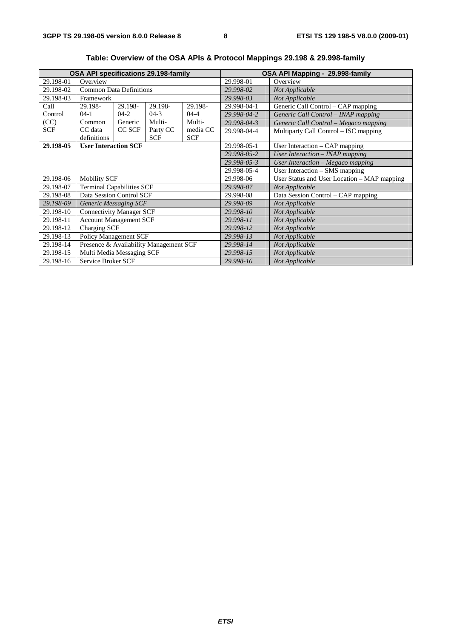| <b>OSA API specifications 29.198-family</b> |                                        |         |             |                                    | OSA API Mapping - 29.998-family |                                             |
|---------------------------------------------|----------------------------------------|---------|-------------|------------------------------------|---------------------------------|---------------------------------------------|
| 29.198-01                                   | Overview                               |         |             |                                    | 29.998-01                       | Overview                                    |
| 29.198-02                                   | <b>Common Data Definitions</b>         |         |             |                                    | 29.998-02                       | Not Applicable                              |
| 29.198-03                                   | Framework                              |         |             |                                    | 29.998-03                       | Not Applicable                              |
| Call                                        | 29.198-                                | 29.198- | 29.198-     | 29.198-                            | 29.998-04-1                     | Generic Call Control – CAP mapping          |
| Control                                     | $04-1$                                 | $04-2$  | $04-3$      | $04 - 4$                           | 29.998-04-2                     | Generic Call Control – INAP mapping         |
| (CC)                                        | Common                                 | Generic | Multi-      | Multi-                             | 29.998-04-3                     | Generic Call Control - Megaco mapping       |
| SCF                                         | CC data                                | CC SCF  | Party CC    | media CC                           | 29.998-04-4                     | Multiparty Call Control – ISC mapping       |
|                                             | definitions                            |         | <b>SCF</b>  | <b>SCF</b>                         |                                 |                                             |
| 29.198-05                                   | <b>User Interaction SCF</b>            |         | 29.998-05-1 | User Interaction - CAP mapping     |                                 |                                             |
|                                             |                                        |         | 29.998-05-2 | User Interaction $-$ INAP mapping  |                                 |                                             |
|                                             |                                        |         | 29.998-05-3 | User Interaction - Megaco mapping  |                                 |                                             |
|                                             |                                        |         | 29.998-05-4 | User Interaction - SMS mapping     |                                 |                                             |
| 29.198-06                                   | <b>Mobility SCF</b>                    |         |             |                                    | 29.998-06                       | User Status and User Location – MAP mapping |
| 29.198-07                                   | <b>Terminal Capabilities SCF</b>       |         | 29.998-07   | Not Applicable                     |                                 |                                             |
| 29.198-08                                   | Data Session Control SCF               |         | 29.998-08   | Data Session Control - CAP mapping |                                 |                                             |
| 29.198-09                                   | <b>Generic Messaging SCF</b>           |         | 29.998-09   | Not Applicable                     |                                 |                                             |
| 29.198-10                                   | <b>Connectivity Manager SCF</b>        |         | 29.998-10   | Not Applicable                     |                                 |                                             |
| 29.198-11                                   | <b>Account Management SCF</b>          |         | 29.998-11   | Not Applicable                     |                                 |                                             |
| 29.198-12                                   | Charging SCF                           |         |             |                                    | 29.998-12                       | Not Applicable                              |
| 29.198-13                                   | <b>Policy Management SCF</b>           |         |             |                                    | 29.998-13                       | Not Applicable                              |
| 29.198-14                                   | Presence & Availability Management SCF |         | 29.998-14   | Not Applicable                     |                                 |                                             |
| 29.198-15                                   | Multi Media Messaging SCF              |         |             |                                    | 29.998-15                       | Not Applicable                              |
| 29.198-16                                   | Service Broker SCF                     |         | 29.998-16   | Not Applicable                     |                                 |                                             |

**Table: Overview of the OSA APIs & Protocol Mappings 29.198 & 29.998-family**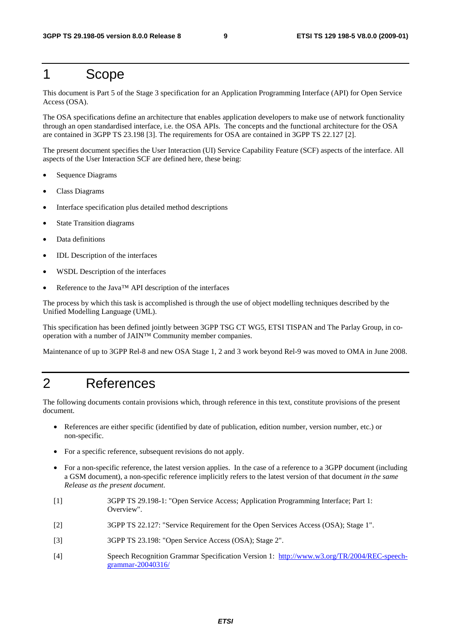# 1 Scope

This document is Part 5 of the Stage 3 specification for an Application Programming Interface (API) for Open Service Access (OSA).

The OSA specifications define an architecture that enables application developers to make use of network functionality through an open standardised interface, i.e. the OSA APIs. The concepts and the functional architecture for the OSA are contained in 3GPP TS 23.198 [3]. The requirements for OSA are contained in 3GPP TS 22.127 [2].

The present document specifies the User Interaction (UI) Service Capability Feature (SCF) aspects of the interface. All aspects of the User Interaction SCF are defined here, these being:

- Sequence Diagrams
- Class Diagrams
- Interface specification plus detailed method descriptions
- State Transition diagrams
- Data definitions
- IDL Description of the interfaces
- WSDL Description of the interfaces
- Reference to the Java™ API description of the interfaces

The process by which this task is accomplished is through the use of object modelling techniques described by the Unified Modelling Language (UML).

This specification has been defined jointly between 3GPP TSG CT WG5, ETSI TISPAN and The Parlay Group, in cooperation with a number of JAIN™ Community member companies.

Maintenance of up to 3GPP Rel-8 and new OSA Stage 1, 2 and 3 work beyond Rel-9 was moved to OMA in June 2008.

# 2 References

The following documents contain provisions which, through reference in this text, constitute provisions of the present document.

- References are either specific (identified by date of publication, edition number, version number, etc.) or non-specific.
- For a specific reference, subsequent revisions do not apply.
- For a non-specific reference, the latest version applies. In the case of a reference to a 3GPP document (including a GSM document), a non-specific reference implicitly refers to the latest version of that document *in the same Release as the present document*.
- [1] 3GPP TS 29.198-1: "Open Service Access; Application Programming Interface; Part 1: Overview".
- [2] 3GPP TS 22.127: "Service Requirement for the Open Services Access (OSA); Stage 1".
- [3] 3GPP TS 23.198: "Open Service Access (OSA); Stage 2".
- [4] Speech Recognition Grammar Specification Version 1: [http://www.w3.org/TR/2004/REC-speech](http://www.w3.org/TR/2004/REC-speech-grammar-20040316/)[grammar-20040316/](http://www.w3.org/TR/2004/REC-speech-grammar-20040316/)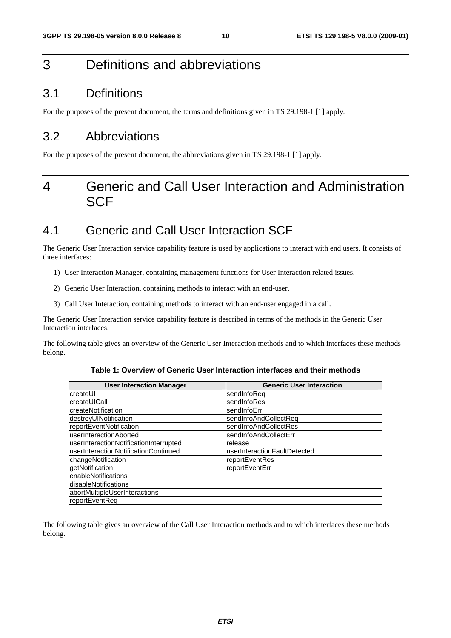# 3 Definitions and abbreviations

### 3.1 Definitions

For the purposes of the present document, the terms and definitions given in TS 29.198-1 [1] apply.

### 3.2 Abbreviations

For the purposes of the present document, the abbreviations given in TS 29.198-1 [1] apply.

# 4 Generic and Call User Interaction and Administration **SCF**

# 4.1 Generic and Call User Interaction SCF

The Generic User Interaction service capability feature is used by applications to interact with end users. It consists of three interfaces:

- 1) User Interaction Manager, containing management functions for User Interaction related issues.
- 2) Generic User Interaction, containing methods to interact with an end-user.
- 3) Call User Interaction, containing methods to interact with an end-user engaged in a call.

The Generic User Interaction service capability feature is described in terms of the methods in the Generic User Interaction interfaces.

The following table gives an overview of the Generic User Interaction methods and to which interfaces these methods belong.

| <b>User Interaction Manager</b>        | <b>Generic User Interaction</b> |
|----------------------------------------|---------------------------------|
| createUI                               | sendInfoReq                     |
| createUICall                           | sendInfoRes                     |
| <b>IcreateNotification</b>             | sendInfoErr                     |
| destroyUINotification                  | sendInfoAndCollectReq           |
| reportEventNotification                | sendInfoAndCollectRes           |
| userInteractionAborted                 | sendInfoAndCollectErr           |
| userInteractionNotificationInterrupted | release                         |
| userInteractionNotificationContinued   | userInteractionFaultDetected    |
| changeNotification                     | reportEventRes                  |
| getNotification                        | reportEventErr                  |
| enableNotifications                    |                                 |
| disableNotifications                   |                                 |
| abortMultipleUserInteractions          |                                 |
| reportEventReq                         |                                 |

**Table 1: Overview of Generic User Interaction interfaces and their methods** 

The following table gives an overview of the Call User Interaction methods and to which interfaces these methods belong.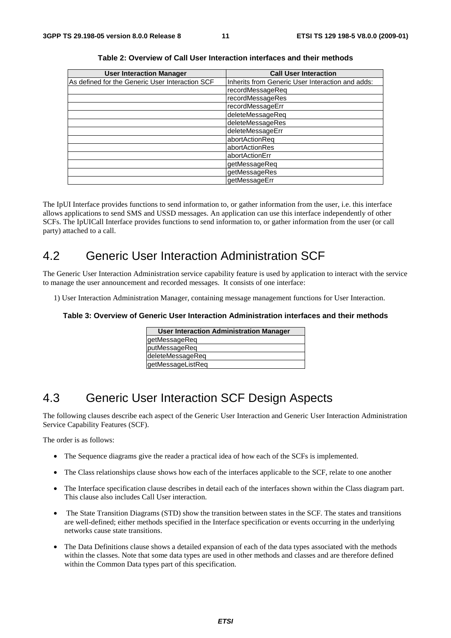| <b>User Interaction Manager</b>                 | <b>Call User Interaction</b>                     |
|-------------------------------------------------|--------------------------------------------------|
| As defined for the Generic User Interaction SCF | Inherits from Generic User Interaction and adds: |
|                                                 | recordMessageReq                                 |
|                                                 | recordMessageRes                                 |
|                                                 | recordMessageErr                                 |
|                                                 | deleteMessageReq                                 |
|                                                 | deleteMessageRes                                 |
|                                                 | deleteMessageErr                                 |
|                                                 | abortActionReq                                   |
|                                                 | abortActionRes                                   |
|                                                 | abortActionErr                                   |
|                                                 | getMessageReq                                    |
|                                                 | getMessageRes                                    |
|                                                 | getMessageErr                                    |

The IpUI Interface provides functions to send information to, or gather information from the user, i.e. this interface allows applications to send SMS and USSD messages. An application can use this interface independently of other SCFs. The IpUICall Interface provides functions to send information to, or gather information from the user (or call party) attached to a call.

# 4.2 Generic User Interaction Administration SCF

The Generic User Interaction Administration service capability feature is used by application to interact with the service to manage the user announcement and recorded messages. It consists of one interface:

1) User Interaction Administration Manager, containing message management functions for User Interaction.

#### **Table 3: Overview of Generic User Interaction Administration interfaces and their methods**

| <b>User Interaction Administration Manager</b> |
|------------------------------------------------|
| getMessageReq                                  |
| putMessageReq                                  |
| deleteMessageReq                               |
| getMessageListReq                              |

# 4.3 Generic User Interaction SCF Design Aspects

The following clauses describe each aspect of the Generic User Interaction and Generic User Interaction Administration Service Capability Features (SCF).

The order is as follows:

- The Sequence diagrams give the reader a practical idea of how each of the SCFs is implemented.
- The Class relationships clause shows how each of the interfaces applicable to the SCF, relate to one another
- The Interface specification clause describes in detail each of the interfaces shown within the Class diagram part. This clause also includes Call User interaction.
- The State Transition Diagrams (STD) show the transition between states in the SCF. The states and transitions are well-defined; either methods specified in the Interface specification or events occurring in the underlying networks cause state transitions.
- The Data Definitions clause shows a detailed expansion of each of the data types associated with the methods within the classes. Note that some data types are used in other methods and classes and are therefore defined within the Common Data types part of this specification.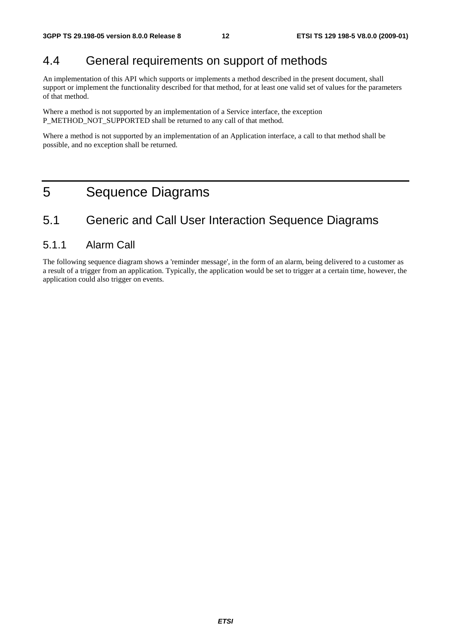# 4.4 General requirements on support of methods

An implementation of this API which supports or implements a method described in the present document, shall support or implement the functionality described for that method, for at least one valid set of values for the parameters of that method.

Where a method is not supported by an implementation of a Service interface, the exception P\_METHOD\_NOT\_SUPPORTED shall be returned to any call of that method.

Where a method is not supported by an implementation of an Application interface, a call to that method shall be possible, and no exception shall be returned.

# 5 Sequence Diagrams

# 5.1 Generic and Call User Interaction Sequence Diagrams

### 5.1.1 Alarm Call

The following sequence diagram shows a 'reminder message', in the form of an alarm, being delivered to a customer as a result of a trigger from an application. Typically, the application would be set to trigger at a certain time, however, the application could also trigger on events.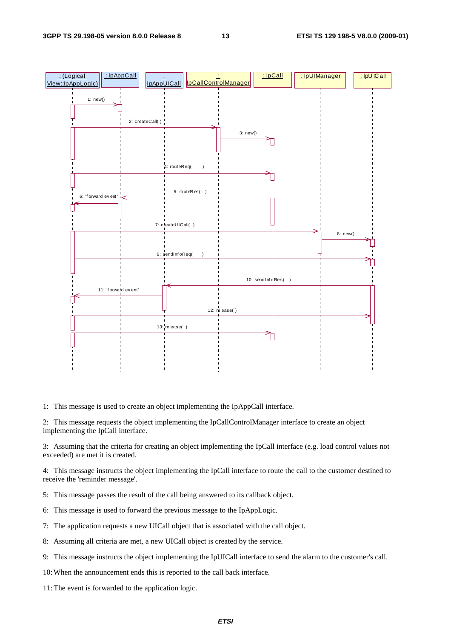

1: This message is used to create an object implementing the IpAppCall interface.

2: This message requests the object implementing the IpCallControlManager interface to create an object implementing the IpCall interface.

3: Assuming that the criteria for creating an object implementing the IpCall interface (e.g. load control values not exceeded) are met it is created.

4: This message instructs the object implementing the IpCall interface to route the call to the customer destined to receive the 'reminder message'.

- 5: This message passes the result of the call being answered to its callback object.
- 6: This message is used to forward the previous message to the IpAppLogic.
- 7: The application requests a new UICall object that is associated with the call object.
- 8: Assuming all criteria are met, a new UICall object is created by the service.
- 9: This message instructs the object implementing the IpUICall interface to send the alarm to the customer's call.
- 10: When the announcement ends this is reported to the call back interface.
- 11: The event is forwarded to the application logic.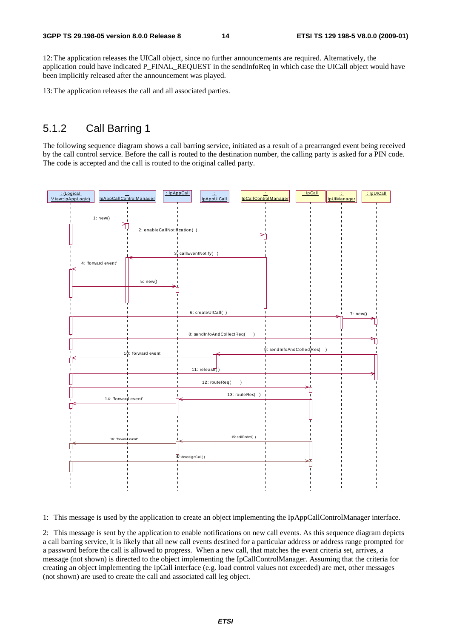12: The application releases the UICall object, since no further announcements are required. Alternatively, the application could have indicated P\_FINAL\_REQUEST in the sendInfoReq in which case the UICall object would have been implicitly released after the announcement was played.

13: The application releases the call and all associated parties.

### 5.1.2 Call Barring 1

The following sequence diagram shows a call barring service, initiated as a result of a prearranged event being received by the call control service. Before the call is routed to the destination number, the calling party is asked for a PIN code. The code is accepted and the call is routed to the original called party.



1: This message is used by the application to create an object implementing the IpAppCallControlManager interface.

2: This message is sent by the application to enable notifications on new call events. As this sequence diagram depicts a call barring service, it is likely that all new call events destined for a particular address or address range prompted for a password before the call is allowed to progress. When a new call, that matches the event criteria set, arrives, a message (not shown) is directed to the object implementing the IpCallControlManager. Assuming that the criteria for creating an object implementing the IpCall interface (e.g. load control values not exceeded) are met, other messages (not shown) are used to create the call and associated call leg object.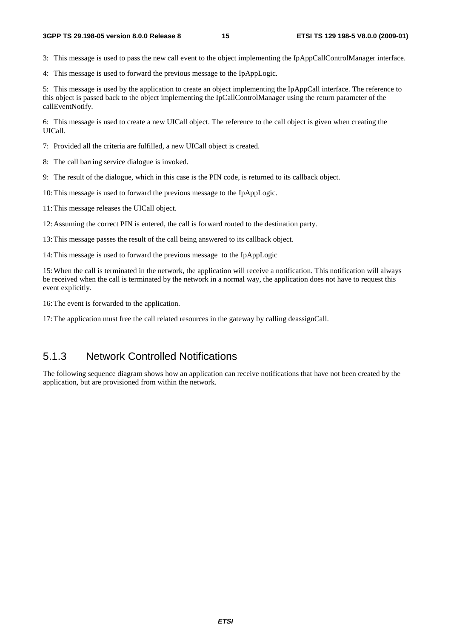3: This message is used to pass the new call event to the object implementing the IpAppCallControlManager interface.

4: This message is used to forward the previous message to the IpAppLogic.

5: This message is used by the application to create an object implementing the IpAppCall interface. The reference to this object is passed back to the object implementing the IpCallControlManager using the return parameter of the callEventNotify.

6: This message is used to create a new UICall object. The reference to the call object is given when creating the UICall.

7: Provided all the criteria are fulfilled, a new UICall object is created.

8: The call barring service dialogue is invoked.

9: The result of the dialogue, which in this case is the PIN code, is returned to its callback object.

10: This message is used to forward the previous message to the IpAppLogic.

11: This message releases the UICall object.

12: Assuming the correct PIN is entered, the call is forward routed to the destination party.

13: This message passes the result of the call being answered to its callback object.

14: This message is used to forward the previous message to the IpAppLogic

15: When the call is terminated in the network, the application will receive a notification. This notification will always be received when the call is terminated by the network in a normal way, the application does not have to request this event explicitly.

16: The event is forwarded to the application.

17: The application must free the call related resources in the gateway by calling deassignCall.

### 5.1.3 Network Controlled Notifications

The following sequence diagram shows how an application can receive notifications that have not been created by the application, but are provisioned from within the network.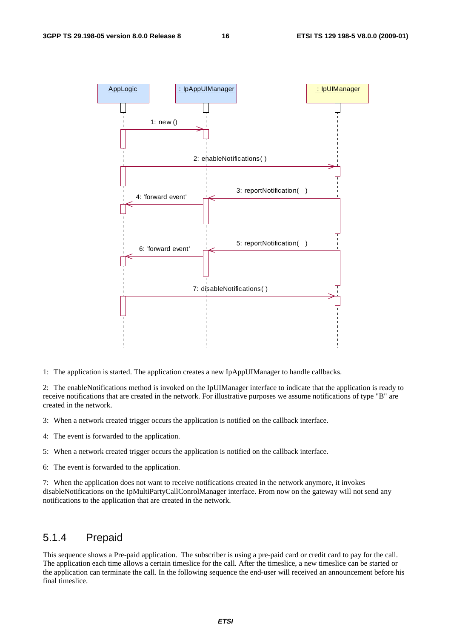

1: The application is started. The application creates a new IpAppUIManager to handle callbacks.

2: The enableNotifications method is invoked on the IpUIManager interface to indicate that the application is ready to receive notifications that are created in the network. For illustrative purposes we assume notifications of type "B" are created in the network.

- 3: When a network created trigger occurs the application is notified on the callback interface.
- 4: The event is forwarded to the application.
- 5: When a network created trigger occurs the application is notified on the callback interface.
- 6: The event is forwarded to the application.

7: When the application does not want to receive notifications created in the network anymore, it invokes disableNotifications on the IpMultiPartyCallConrolManager interface. From now on the gateway will not send any notifications to the application that are created in the network.

### 5.1.4 Prepaid

This sequence shows a Pre-paid application. The subscriber is using a pre-paid card or credit card to pay for the call. The application each time allows a certain timeslice for the call. After the timeslice, a new timeslice can be started or the application can terminate the call. In the following sequence the end-user will received an announcement before his final timeslice.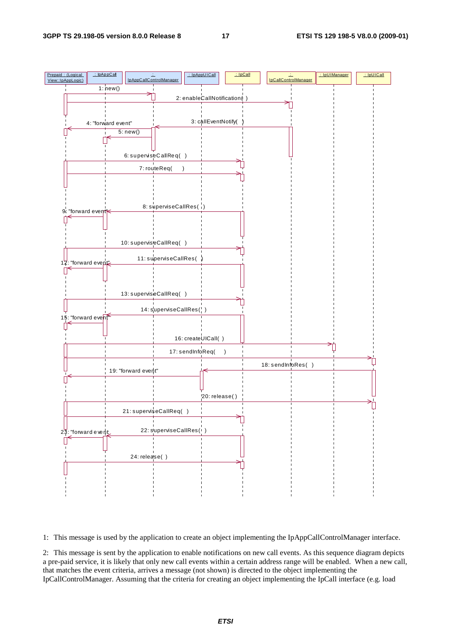

1: This message is used by the application to create an object implementing the IpAppCallControlManager interface.

2: This message is sent by the application to enable notifications on new call events. As this sequence diagram depicts a pre-paid service, it is likely that only new call events within a certain address range will be enabled. When a new call, that matches the event criteria, arrives a message (not shown) is directed to the object implementing the IpCallControlManager. Assuming that the criteria for creating an object implementing the IpCall interface (e.g. load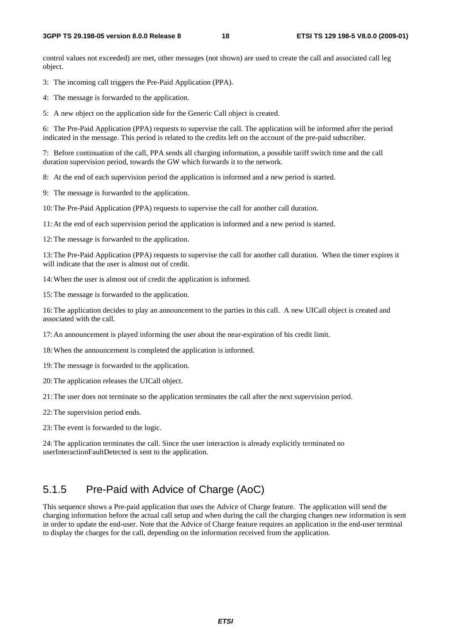control values not exceeded) are met, other messages (not shown) are used to create the call and associated call leg object.

3: The incoming call triggers the Pre-Paid Application (PPA).

4: The message is forwarded to the application.

5: A new object on the application side for the Generic Call object is created.

6: The Pre-Paid Application (PPA) requests to supervise the call. The application will be informed after the period indicated in the message. This period is related to the credits left on the account of the pre-paid subscriber.

7: Before continuation of the call, PPA sends all charging information, a possible tariff switch time and the call duration supervision period, towards the GW which forwards it to the network.

8: At the end of each supervision period the application is informed and a new period is started.

9: The message is forwarded to the application.

10: The Pre-Paid Application (PPA) requests to supervise the call for another call duration.

11: At the end of each supervision period the application is informed and a new period is started.

12: The message is forwarded to the application.

13: The Pre-Paid Application (PPA) requests to supervise the call for another call duration. When the timer expires it will indicate that the user is almost out of credit.

14: When the user is almost out of credit the application is informed.

15: The message is forwarded to the application.

16: The application decides to play an announcement to the parties in this call. A new UICall object is created and associated with the call.

17: An announcement is played informing the user about the near-expiration of his credit limit.

18: When the announcement is completed the application is informed.

19: The message is forwarded to the application.

20: The application releases the UICall object.

21: The user does not terminate so the application terminates the call after the next supervision period.

22: The supervision period ends.

23: The event is forwarded to the logic.

24: The application terminates the call. Since the user interaction is already explicitly terminated no userInteractionFaultDetected is sent to the application.

### 5.1.5 Pre-Paid with Advice of Charge (AoC)

This sequence shows a Pre-paid application that uses the Advice of Charge feature. The application will send the charging information before the actual call setup and when during the call the charging changes new information is sent in order to update the end-user. Note that the Advice of Charge feature requires an application in the end-user terminal to display the charges for the call, depending on the information received from the application.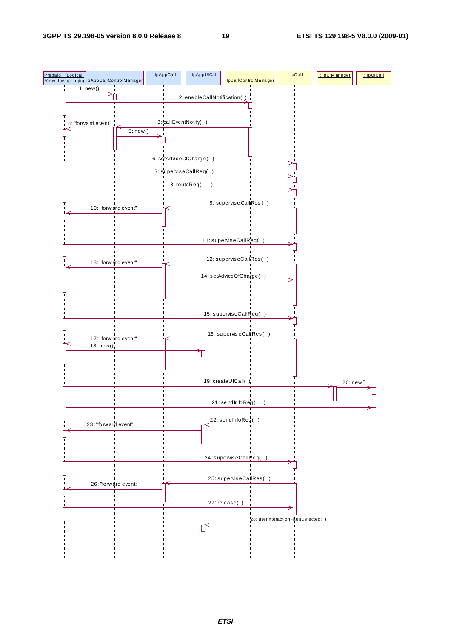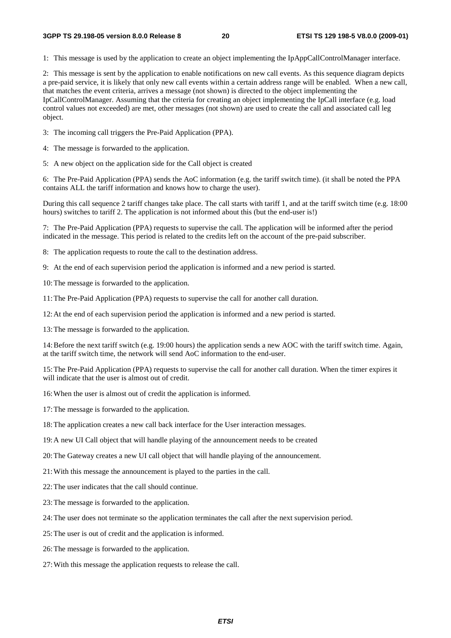1: This message is used by the application to create an object implementing the IpAppCallControlManager interface.

2: This message is sent by the application to enable notifications on new call events. As this sequence diagram depicts a pre-paid service, it is likely that only new call events within a certain address range will be enabled. When a new call, that matches the event criteria, arrives a message (not shown) is directed to the object implementing the IpCallControlManager. Assuming that the criteria for creating an object implementing the IpCall interface (e.g. load control values not exceeded) are met, other messages (not shown) are used to create the call and associated call leg object.

3: The incoming call triggers the Pre-Paid Application (PPA).

- 4: The message is forwarded to the application.
- 5: A new object on the application side for the Call object is created

6: The Pre-Paid Application (PPA) sends the AoC information (e.g. the tariff switch time). (it shall be noted the PPA contains ALL the tariff information and knows how to charge the user).

During this call sequence 2 tariff changes take place. The call starts with tariff 1, and at the tariff switch time (e.g. 18:00 hours) switches to tariff 2. The application is not informed about this (but the end-user is!)

7: The Pre-Paid Application (PPA) requests to supervise the call. The application will be informed after the period indicated in the message. This period is related to the credits left on the account of the pre-paid subscriber.

8: The application requests to route the call to the destination address.

9: At the end of each supervision period the application is informed and a new period is started.

10: The message is forwarded to the application.

11: The Pre-Paid Application (PPA) requests to supervise the call for another call duration.

12: At the end of each supervision period the application is informed and a new period is started.

13: The message is forwarded to the application.

14: Before the next tariff switch (e.g. 19:00 hours) the application sends a new AOC with the tariff switch time. Again, at the tariff switch time, the network will send AoC information to the end-user.

15: The Pre-Paid Application (PPA) requests to supervise the call for another call duration. When the timer expires it will indicate that the user is almost out of credit.

16: When the user is almost out of credit the application is informed.

17: The message is forwarded to the application.

18: The application creates a new call back interface for the User interaction messages.

19: A new UI Call object that will handle playing of the announcement needs to be created

20: The Gateway creates a new UI call object that will handle playing of the announcement.

- 21: With this message the announcement is played to the parties in the call.
- 22: The user indicates that the call should continue.
- 23: The message is forwarded to the application.
- 24: The user does not terminate so the application terminates the call after the next supervision period.
- 25: The user is out of credit and the application is informed.
- 26: The message is forwarded to the application.
- 27: With this message the application requests to release the call.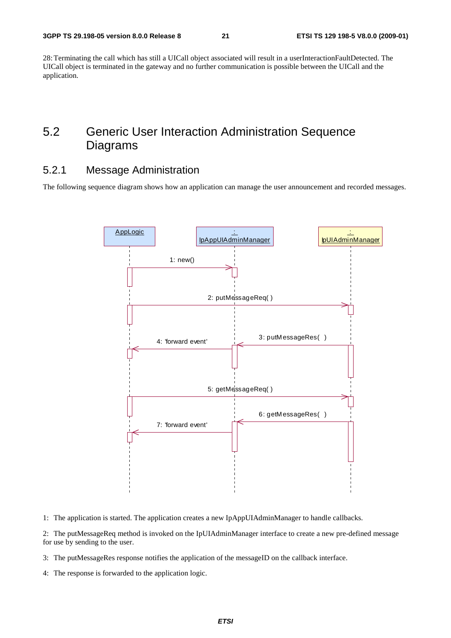28: Terminating the call which has still a UICall object associated will result in a userInteractionFaultDetected. The UICall object is terminated in the gateway and no further communication is possible between the UICall and the application.

# 5.2 Generic User Interaction Administration Sequence Diagrams

### 5.2.1 Message Administration

The following sequence diagram shows how an application can manage the user announcement and recorded messages.



1: The application is started. The application creates a new IpAppUIAdminManager to handle callbacks.

2: The putMessageReq method is invoked on the IpUIAdminManager interface to create a new pre-defined message for use by sending to the user.

- 3: The putMessageRes response notifies the application of the messageID on the callback interface.
- 4: The response is forwarded to the application logic.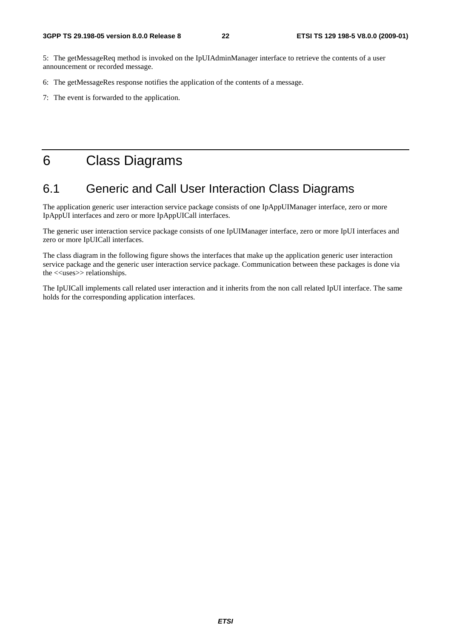5: The getMessageReq method is invoked on the IpUIAdminManager interface to retrieve the contents of a user announcement or recorded message.

6: The getMessageRes response notifies the application of the contents of a message.

7: The event is forwarded to the application.

# 6 Class Diagrams

# 6.1 Generic and Call User Interaction Class Diagrams

The application generic user interaction service package consists of one IpAppUIManager interface, zero or more IpAppUI interfaces and zero or more IpAppUICall interfaces.

The generic user interaction service package consists of one IpUIManager interface, zero or more IpUI interfaces and zero or more IpUICall interfaces.

The class diagram in the following figure shows the interfaces that make up the application generic user interaction service package and the generic user interaction service package. Communication between these packages is done via the <<uses>> relationships.

The IpUICall implements call related user interaction and it inherits from the non call related IpUI interface. The same holds for the corresponding application interfaces.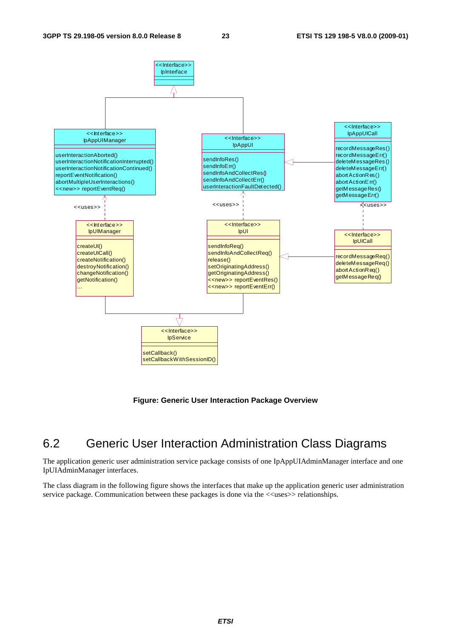

**Figure: Generic User Interaction Package Overview** 

# 6.2 Generic User Interaction Administration Class Diagrams

The application generic user administration service package consists of one IpAppUIAdminManager interface and one IpUIAdminManager interfaces.

The class diagram in the following figure shows the interfaces that make up the application generic user administration service package. Communication between these packages is done via the  $\langle\langle$ uses $\rangle$  relationships.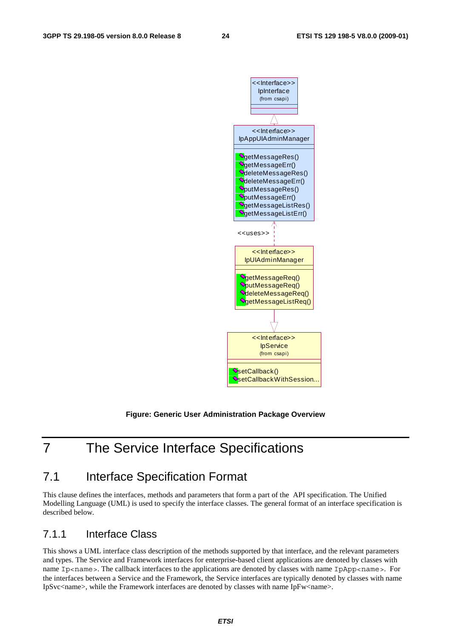

#### **Figure: Generic User Administration Package Overview**

# 7 The Service Interface Specifications

# 7.1 Interface Specification Format

This clause defines the interfaces, methods and parameters that form a part of the API specification. The Unified Modelling Language (UML) is used to specify the interface classes. The general format of an interface specification is described below.

### 7.1.1 Interface Class

This shows a UML interface class description of the methods supported by that interface, and the relevant parameters and types. The Service and Framework interfaces for enterprise-based client applications are denoted by classes with name Ip<name>. The callback interfaces to the applications are denoted by classes with name IpApp<name>. For the interfaces between a Service and the Framework, the Service interfaces are typically denoted by classes with name IpSvc<name>, while the Framework interfaces are denoted by classes with name IpFw<name>.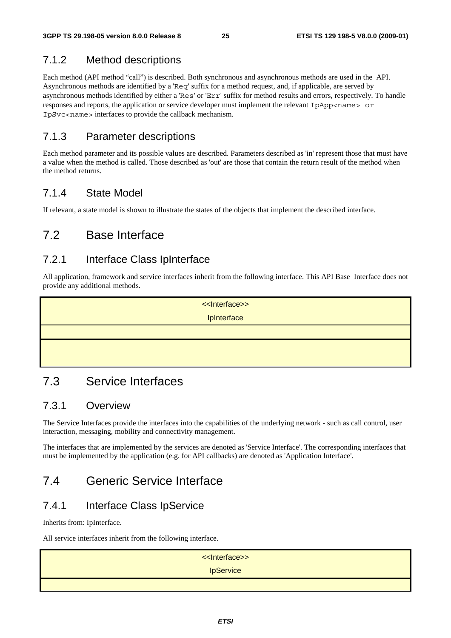# 7.1.2 Method descriptions

Each method (API method "call") is described. Both synchronous and asynchronous methods are used in the API. Asynchronous methods are identified by a 'Req' suffix for a method request, and, if applicable, are served by asynchronous methods identified by either a 'Res' or 'Err' suffix for method results and errors, respectively. To handle responses and reports, the application or service developer must implement the relevant IpApp<name> or IpSvc<name> interfaces to provide the callback mechanism.

### 7.1.3 Parameter descriptions

Each method parameter and its possible values are described. Parameters described as 'in' represent those that must have a value when the method is called. Those described as 'out' are those that contain the return result of the method when the method returns.

# 7.1.4 State Model

If relevant, a state model is shown to illustrate the states of the objects that implement the described interface.

# 7.2 Base Interface

### 7.2.1 Interface Class IpInterface

All application, framework and service interfaces inherit from the following interface. This API Base Interface does not provide any additional methods.

<<Interface>>

**IpInterface** 

# 7.3 Service Interfaces

### 7.3.1 Overview

The Service Interfaces provide the interfaces into the capabilities of the underlying network - such as call control, user interaction, messaging, mobility and connectivity management.

The interfaces that are implemented by the services are denoted as 'Service Interface'. The corresponding interfaces that must be implemented by the application (e.g. for API callbacks) are denoted as 'Application Interface'.

# 7.4 Generic Service Interface

# 7.4.1 Interface Class IpService

Inherits from: IpInterface.

All service interfaces inherit from the following interface.

| << Interface>>   |
|------------------|
| <b>IpService</b> |
|                  |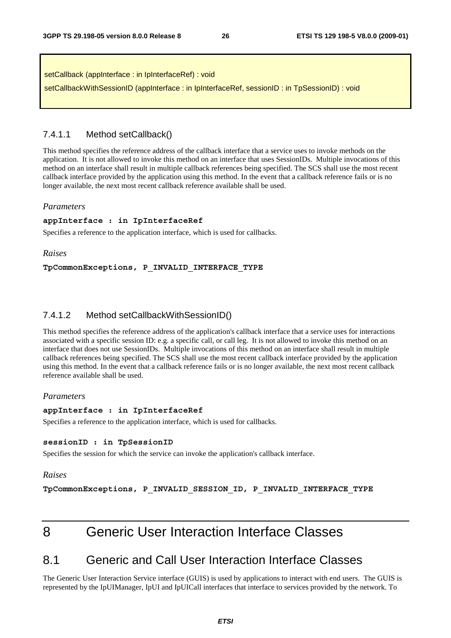| setCallback (appInterface: in IpInterfaceRef): void                                         |  |
|---------------------------------------------------------------------------------------------|--|
| setCallbackWithSessionID (appInterface: in IpInterfaceRef, sessionID: in TpSessionID): void |  |

#### 7.4.1.1 Method setCallback()

This method specifies the reference address of the callback interface that a service uses to invoke methods on the application. It is not allowed to invoke this method on an interface that uses SessionIDs. Multiple invocations of this method on an interface shall result in multiple callback references being specified. The SCS shall use the most recent callback interface provided by the application using this method. In the event that a callback reference fails or is no longer available, the next most recent callback reference available shall be used.

#### *Parameters*

#### **appInterface : in IpInterfaceRef**

Specifies a reference to the application interface, which is used for callbacks.

#### *Raises*

#### **TpCommonExceptions, P\_INVALID\_INTERFACE\_TYPE**

#### 7.4.1.2 Method setCallbackWithSessionID()

This method specifies the reference address of the application's callback interface that a service uses for interactions associated with a specific session ID: e.g. a specific call, or call leg. It is not allowed to invoke this method on an interface that does not use SessionIDs. Multiple invocations of this method on an interface shall result in multiple callback references being specified. The SCS shall use the most recent callback interface provided by the application using this method. In the event that a callback reference fails or is no longer available, the next most recent callback reference available shall be used.

#### *Parameters*

#### **appInterface : in IpInterfaceRef**

Specifies a reference to the application interface, which is used for callbacks.

#### **sessionID : in TpSessionID**

Specifies the session for which the service can invoke the application's callback interface.

#### *Raises*

**TpCommonExceptions, P\_INVALID\_SESSION\_ID, P\_INVALID\_INTERFACE\_TYPE** 

# 8 Generic User Interaction Interface Classes

# 8.1 Generic and Call User Interaction Interface Classes

The Generic User Interaction Service interface (GUIS) is used by applications to interact with end users. The GUIS is represented by the IpUIManager, IpUI and IpUICall interfaces that interface to services provided by the network. To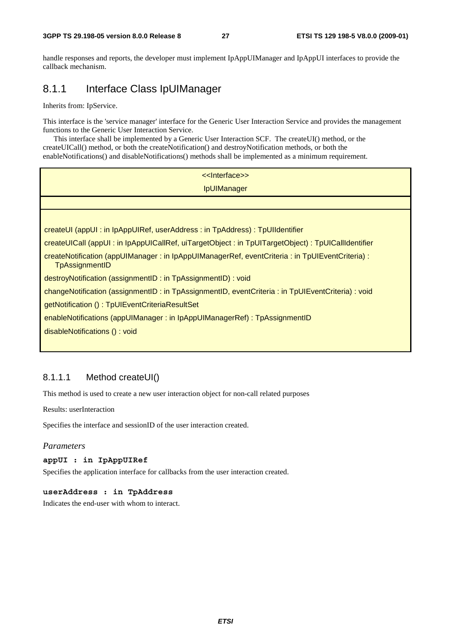handle responses and reports, the developer must implement IpAppUIManager and IpAppUI interfaces to provide the callback mechanism.

### 8.1.1 Interface Class IpUIManager

Inherits from: IpService.

This interface is the 'service manager' interface for the Generic User Interaction Service and provides the management functions to the Generic User Interaction Service.

 This interface shall be implemented by a Generic User Interaction SCF. The createUI() method, or the createUICall() method, or both the createNotification() and destroyNotification methods, or both the enableNotifications() and disableNotifications() methods shall be implemented as a minimum requirement.

| << Interface>>                                                                                                         |
|------------------------------------------------------------------------------------------------------------------------|
| <b>IpUIManager</b>                                                                                                     |
|                                                                                                                        |
|                                                                                                                        |
| createUI (appUI : in IpAppUIRef, userAddress : in TpAddress) : TpUIIdentifier                                          |
| createUICall (appUI: in IpAppUICallRef, uiTargetObject: in TpUITargetObject): TpUICallIdentifier                       |
| createNotification (appUIManager: in IpAppUIManagerRef, eventCriteria: in TpUIEventCriteria):<br><b>TpAssignmentID</b> |
| destroyNotification (assignmentID: in TpAssignmentID): void                                                            |
| changeNotification (assignmentID: in TpAssignmentID, eventCriteria: in TpUIEventCriteria): void                        |
| getNotification (): TpUIEventCriteriaResultSet                                                                         |
| enableNotifications (appUIManager: in IpAppUIManagerRef): TpAssignmentID                                               |
| disableNotifications (): void                                                                                          |
|                                                                                                                        |

#### 8.1.1.1 Method createUI()

This method is used to create a new user interaction object for non-call related purposes

Results: userInteraction

Specifies the interface and sessionID of the user interaction created.

#### *Parameters*

#### **appUI : in IpAppUIRef**

Specifies the application interface for callbacks from the user interaction created.

#### **userAddress : in TpAddress**

Indicates the end-user with whom to interact.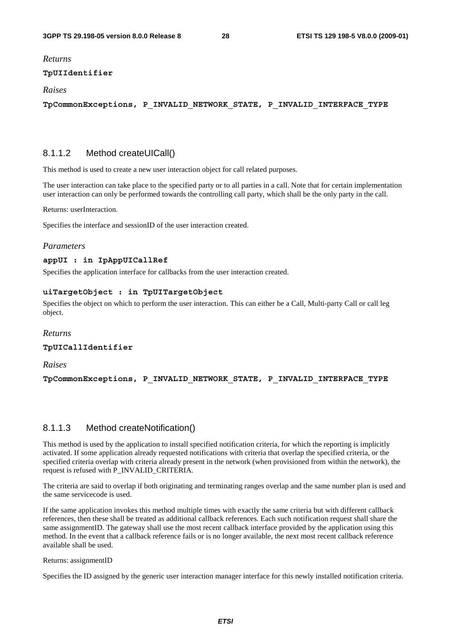#### *Returns*

#### **TpUIIdentifier**

#### *Raises*

**TpCommonExceptions, P\_INVALID\_NETWORK\_STATE, P\_INVALID\_INTERFACE\_TYPE** 

#### 8.1.1.2 Method createUICall()

This method is used to create a new user interaction object for call related purposes.

The user interaction can take place to the specified party or to all parties in a call. Note that for certain implementation user interaction can only be performed towards the controlling call party, which shall be the only party in the call.

Returns: userInteraction.

Specifies the interface and sessionID of the user interaction created.

#### *Parameters*

#### **appUI : in IpAppUICallRef**

Specifies the application interface for callbacks from the user interaction created.

#### **uiTargetObject : in TpUITargetObject**

Specifies the object on which to perform the user interaction. This can either be a Call, Multi-party Call or call leg object.

#### *Returns*

**TpUICallIdentifier** 

#### *Raises*

**TpCommonExceptions, P\_INVALID\_NETWORK\_STATE, P\_INVALID\_INTERFACE\_TYPE** 

#### 8.1.1.3 Method createNotification()

This method is used by the application to install specified notification criteria, for which the reporting is implicitly activated. If some application already requested notifications with criteria that overlap the specified criteria, or the specified criteria overlap with criteria already present in the network (when provisioned from within the network), the request is refused with P\_INVALID\_CRITERIA.

The criteria are said to overlap if both originating and terminating ranges overlap and the same number plan is used and the same servicecode is used.

If the same application invokes this method multiple times with exactly the same criteria but with different callback references, then these shall be treated as additional callback references. Each such notification request shall share the same assignmentID. The gateway shall use the most recent callback interface provided by the application using this method. In the event that a callback reference fails or is no longer available, the next most recent callback reference available shall be used.

Returns: assignmentID

Specifies the ID assigned by the generic user interaction manager interface for this newly installed notification criteria.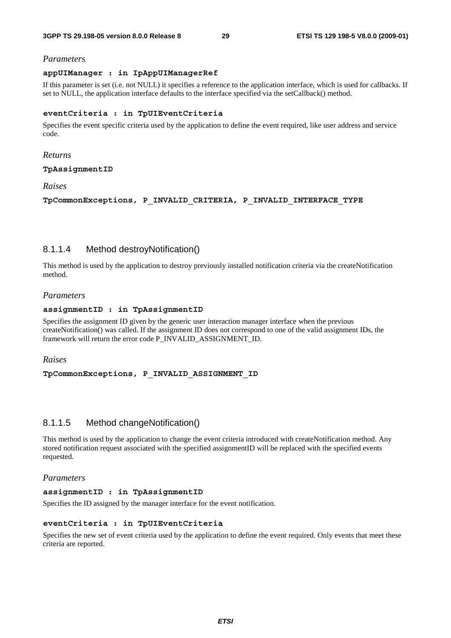#### *Parameters*

#### **appUIManager : in IpAppUIManagerRef**

If this parameter is set (i.e. not NULL) it specifies a reference to the application interface, which is used for callbacks. If set to NULL, the application interface defaults to the interface specified via the setCallback() method.

#### **eventCriteria : in TpUIEventCriteria**

Specifies the event specific criteria used by the application to define the event required, like user address and service code.

#### *Returns*

#### **TpAssignmentID**

#### *Raises*

**TpCommonExceptions, P\_INVALID\_CRITERIA, P\_INVALID\_INTERFACE\_TYPE** 

#### 8.1.1.4 Method destroyNotification()

This method is used by the application to destroy previously installed notification criteria via the createNotification method.

#### *Parameters*

#### **assignmentID : in TpAssignmentID**

Specifies the assignment ID given by the generic user interaction manager interface when the previous createNotification() was called. If the assignment ID does not correspond to one of the valid assignment IDs, the framework will return the error code P\_INVALID\_ASSIGNMENT\_ID.

#### *Raises*

#### **TpCommonExceptions, P\_INVALID\_ASSIGNMENT\_ID**

#### 8.1.1.5 Method changeNotification()

This method is used by the application to change the event criteria introduced with createNotification method. Any stored notification request associated with the specified assignmentID will be replaced with the specified events requested.

#### *Parameters*

#### **assignmentID : in TpAssignmentID**

Specifies the ID assigned by the manager interface for the event notification.

#### **eventCriteria : in TpUIEventCriteria**

Specifies the new set of event criteria used by the application to define the event required. Only events that meet these criteria are reported.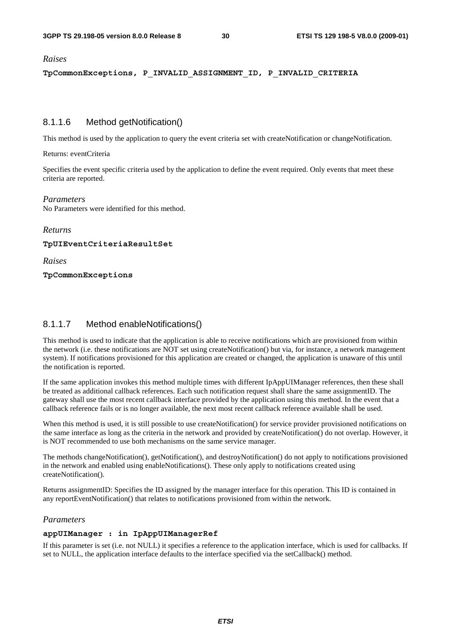#### *Raises*

**TpCommonExceptions, P\_INVALID\_ASSIGNMENT\_ID, P\_INVALID\_CRITERIA** 

#### 8.1.1.6 Method getNotification()

This method is used by the application to query the event criteria set with createNotification or changeNotification.

Returns: eventCriteria

Specifies the event specific criteria used by the application to define the event required. Only events that meet these criteria are reported.

#### *Parameters*

No Parameters were identified for this method.

*Returns* 

#### **TpUIEventCriteriaResultSet**

*Raises* 

#### **TpCommonExceptions**

#### 8.1.1.7 Method enableNotifications()

This method is used to indicate that the application is able to receive notifications which are provisioned from within the network (i.e. these notifications are NOT set using createNotification() but via, for instance, a network management system). If notifications provisioned for this application are created or changed, the application is unaware of this until the notification is reported.

If the same application invokes this method multiple times with different IpAppUIManager references, then these shall be treated as additional callback references. Each such notification request shall share the same assignmentID. The gateway shall use the most recent callback interface provided by the application using this method. In the event that a callback reference fails or is no longer available, the next most recent callback reference available shall be used.

When this method is used, it is still possible to use createNotification() for service provider provisioned notifications on the same interface as long as the criteria in the network and provided by createNotification() do not overlap. However, it is NOT recommended to use both mechanisms on the same service manager.

The methods changeNotification(), getNotification(), and destroyNotification() do not apply to notifications provisioned in the network and enabled using enableNotifications(). These only apply to notifications created using createNotification().

Returns assignmentID: Specifies the ID assigned by the manager interface for this operation. This ID is contained in any reportEventNotification() that relates to notifications provisioned from within the network.

#### *Parameters*

#### **appUIManager : in IpAppUIManagerRef**

If this parameter is set (i.e. not NULL) it specifies a reference to the application interface, which is used for callbacks. If set to NULL, the application interface defaults to the interface specified via the setCallback() method.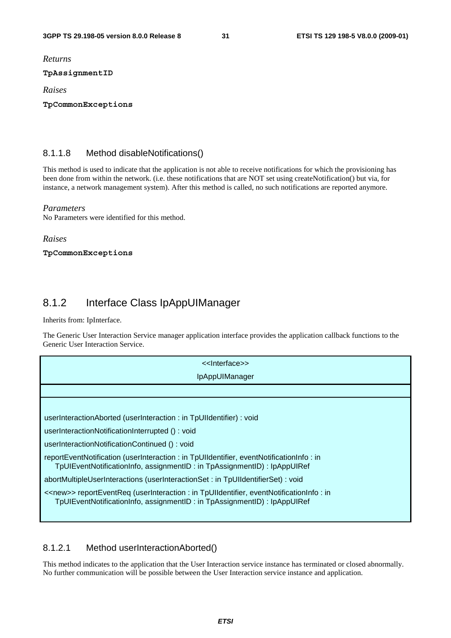*Returns* 

#### **TpAssignmentID**

*Raises* 

**TpCommonExceptions** 

#### 8.1.1.8 Method disableNotifications()

This method is used to indicate that the application is not able to receive notifications for which the provisioning has been done from within the network. (i.e. these notifications that are NOT set using createNotification() but via, for instance, a network management system). After this method is called, no such notifications are reported anymore.

#### *Parameters*

No Parameters were identified for this method.

#### *Raises*

**TpCommonExceptions** 

### 8.1.2 Interface Class IpAppUIManager

Inherits from: IpInterface.

The Generic User Interaction Service manager application interface provides the application callback functions to the Generic User Interaction Service.

| < <lnterface>&gt;</lnterface>                                                                                                                                                   |
|---------------------------------------------------------------------------------------------------------------------------------------------------------------------------------|
| IpAppUIManager                                                                                                                                                                  |
|                                                                                                                                                                                 |
|                                                                                                                                                                                 |
| userInteractionAborted (userInteraction: in TpUIIdentifier): void                                                                                                               |
| userInteractionNotificationInterrupted (): void                                                                                                                                 |
| userInteractionNotificationContinued (): void                                                                                                                                   |
| reportEventNotification (userInteraction: in TpUIIdentifier, eventNotificationInfo: in<br>TpUIEventNotificationInfo, assignmentID : in TpAssignmentID) : IpAppUIRef             |
| abortMultipleUserInteractions (userInteractionSet: in TpUIIdentifierSet): void                                                                                                  |
| < <new>&gt; reportEventReq (userInteraction : in TpUIIdentifier, eventNotificationInfo : in<br/>TpUIEventNotificationInfo, assignmentID : in TpAssignmentID) : IpAppUIRef</new> |

### 8.1.2.1 Method userInteractionAborted()

This method indicates to the application that the User Interaction service instance has terminated or closed abnormally. No further communication will be possible between the User Interaction service instance and application.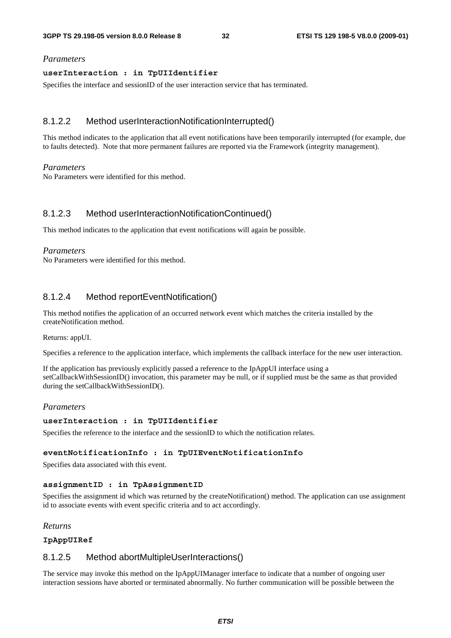#### *Parameters*

#### **userInteraction : in TpUIIdentifier**

Specifies the interface and sessionID of the user interaction service that has terminated.

#### 8.1.2.2 Method userInteractionNotificationInterrupted()

This method indicates to the application that all event notifications have been temporarily interrupted (for example, due to faults detected). Note that more permanent failures are reported via the Framework (integrity management).

#### *Parameters*

No Parameters were identified for this method.

#### 8.1.2.3 Method userInteractionNotificationContinued()

This method indicates to the application that event notifications will again be possible.

#### *Parameters*

No Parameters were identified for this method.

#### 8.1.2.4 Method reportEventNotification()

This method notifies the application of an occurred network event which matches the criteria installed by the createNotification method.

#### Returns: appUI.

Specifies a reference to the application interface, which implements the callback interface for the new user interaction.

If the application has previously explicitly passed a reference to the IpAppUI interface using a setCallbackWithSessionID() invocation, this parameter may be null, or if supplied must be the same as that provided during the setCallbackWithSessionID().

#### *Parameters*

#### **userInteraction : in TpUIIdentifier**

Specifies the reference to the interface and the sessionID to which the notification relates.

#### **eventNotificationInfo : in TpUIEventNotificationInfo**

Specifies data associated with this event.

#### **assignmentID : in TpAssignmentID**

Specifies the assignment id which was returned by the createNotification() method. The application can use assignment id to associate events with event specific criteria and to act accordingly.

#### *Returns*

#### **IpAppUIRef**

#### 8.1.2.5 Method abortMultipleUserInteractions()

The service may invoke this method on the IpAppUIManager interface to indicate that a number of ongoing user interaction sessions have aborted or terminated abnormally. No further communication will be possible between the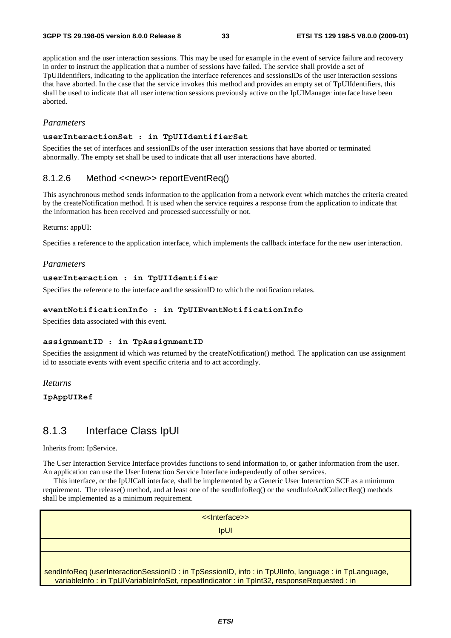application and the user interaction sessions. This may be used for example in the event of service failure and recovery in order to instruct the application that a number of sessions have failed. The service shall provide a set of TpUIIdentifiers, indicating to the application the interface references and sessionsIDs of the user interaction sessions that have aborted. In the case that the service invokes this method and provides an empty set of TpUIIdentifiers, this shall be used to indicate that all user interaction sessions previously active on the IpUIManager interface have been aborted.

#### *Parameters*

#### **userInteractionSet : in TpUIIdentifierSet**

Specifies the set of interfaces and sessionIDs of the user interaction sessions that have aborted or terminated abnormally. The empty set shall be used to indicate that all user interactions have aborted.

#### 8.1.2.6 Method <<new>> reportEventReq()

This asynchronous method sends information to the application from a network event which matches the criteria created by the createNotification method. It is used when the service requires a response from the application to indicate that the information has been received and processed successfully or not.

#### Returns: appUI:

Specifies a reference to the application interface, which implements the callback interface for the new user interaction.

#### *Parameters*

#### **userInteraction : in TpUIIdentifier**

Specifies the reference to the interface and the sessionID to which the notification relates.

#### **eventNotificationInfo : in TpUIEventNotificationInfo**

Specifies data associated with this event.

#### **assignmentID : in TpAssignmentID**

Specifies the assignment id which was returned by the createNotification() method. The application can use assignment id to associate events with event specific criteria and to act accordingly.

#### *Returns*

#### **IpAppUIRef**

### 8.1.3 Interface Class IpUI

Inherits from: IpService.

The User Interaction Service Interface provides functions to send information to, or gather information from the user. An application can use the User Interaction Service Interface independently of other services.

 This interface, or the IpUICall interface, shall be implemented by a Generic User Interaction SCF as a minimum requirement. The release() method, and at least one of the sendInfoReq() or the sendInfoAndCollectReq() methods shall be implemented as a minimum requirement.

<<Interface>> IpUI sendInfoReq (userInteractionSessionID : in TpSessionID, info : in TpUIInfo, language : in TpLanguage, variableInfo : in TpUIVariableInfoSet, repeatIndicator : in TpInt32, responseRequested : in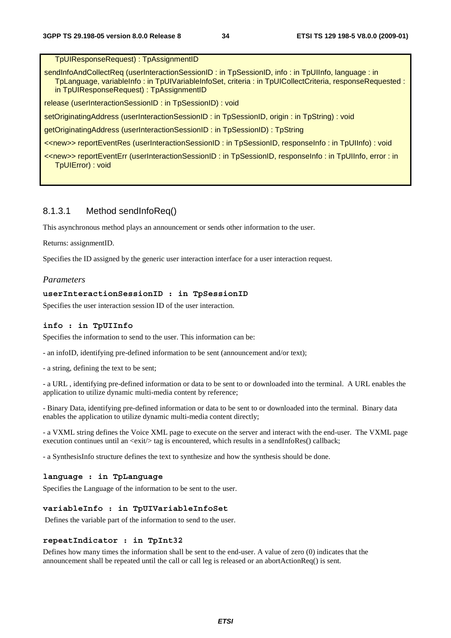TpUIResponseRequest) : TpAssignmentID

sendInfoAndCollectReq (userInteractionSessionID: in TpSessionID, info: in TpUIInfo, language: in TpLanguage, variableInfo : in TpUIVariableInfoSet, criteria : in TpUICollectCriteria, responseRequested : in TpUIResponseRequest) : TpAssignmentID

release (userInteractionSessionID : in TpSessionID) : void

setOriginatingAddress (userInteractionSessionID : in TpSessionID, origin : in TpString) : void

getOriginatingAddress (userInteractionSessionID : in TpSessionID) : TpString

<<new>> reportEventRes (userInteractionSessionID : in TpSessionID, responseInfo : in TpUIInfo) : void

<<new>> reportEventErr (userInteractionSessionID : in TpSessionID, responseInfo : in TpUIInfo, error : in TpUIError) : void

#### 8.1.3.1 Method sendInfoReq()

This asynchronous method plays an announcement or sends other information to the user.

Returns: assignmentID.

Specifies the ID assigned by the generic user interaction interface for a user interaction request.

#### *Parameters*

#### **userInteractionSessionID : in TpSessionID**

Specifies the user interaction session ID of the user interaction.

#### **info : in TpUIInfo**

Specifies the information to send to the user. This information can be:

- an infoID, identifying pre-defined information to be sent (announcement and/or text);

- a string, defining the text to be sent;

- a URL , identifying pre-defined information or data to be sent to or downloaded into the terminal. A URL enables the application to utilize dynamic multi-media content by reference;

- Binary Data, identifying pre-defined information or data to be sent to or downloaded into the terminal. Binary data enables the application to utilize dynamic multi-media content directly;

- a VXML string defines the Voice XML page to execute on the server and interact with the end-user. The VXML page execution continues until an  $\langle \text{exit} \rangle$  tag is encountered, which results in a sendInfoRes() callback;

- a SynthesisInfo structure defines the text to synthesize and how the synthesis should be done.

#### **language : in TpLanguage**

Specifies the Language of the information to be sent to the user.

#### **variableInfo : in TpUIVariableInfoSet**

Defines the variable part of the information to send to the user.

#### **repeatIndicator : in TpInt32**

Defines how many times the information shall be sent to the end-user. A value of zero (0) indicates that the announcement shall be repeated until the call or call leg is released or an abortActionReq() is sent.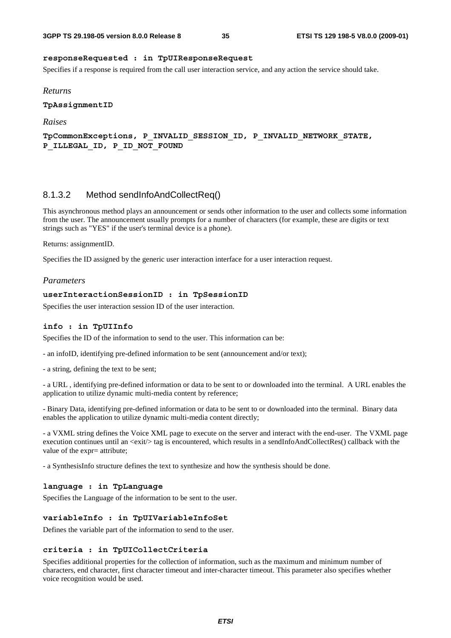#### **responseRequested : in TpUIResponseRequest**

Specifies if a response is required from the call user interaction service, and any action the service should take.

#### *Returns*

**TpAssignmentID** 

*Raises* 

**TpCommonExceptions, P\_INVALID\_SESSION\_ID, P\_INVALID\_NETWORK\_STATE, P\_ILLEGAL\_ID, P\_ID\_NOT\_FOUND** 

#### 8.1.3.2 Method sendInfoAndCollectReq()

This asynchronous method plays an announcement or sends other information to the user and collects some information from the user. The announcement usually prompts for a number of characters (for example, these are digits or text strings such as "YES" if the user's terminal device is a phone).

#### Returns: assignmentID.

Specifies the ID assigned by the generic user interaction interface for a user interaction request.

#### *Parameters*

#### **userInteractionSessionID : in TpSessionID**

Specifies the user interaction session ID of the user interaction.

#### **info : in TpUIInfo**

Specifies the ID of the information to send to the user. This information can be:

- an infoID, identifying pre-defined information to be sent (announcement and/or text);

- a string, defining the text to be sent;

- a URL , identifying pre-defined information or data to be sent to or downloaded into the terminal. A URL enables the application to utilize dynamic multi-media content by reference;

- Binary Data, identifying pre-defined information or data to be sent to or downloaded into the terminal. Binary data enables the application to utilize dynamic multi-media content directly;

- a VXML string defines the Voice XML page to execute on the server and interact with the end-user. The VXML page execution continues until an  $\langle \text{exit} \rangle$  tag is encountered, which results in a sendInfoAndCollectRes() callback with the value of the expr= attribute;

- a SynthesisInfo structure defines the text to synthesize and how the synthesis should be done.

#### **language : in TpLanguage**

Specifies the Language of the information to be sent to the user.

#### **variableInfo : in TpUIVariableInfoSet**

Defines the variable part of the information to send to the user.

#### **criteria : in TpUICollectCriteria**

Specifies additional properties for the collection of information, such as the maximum and minimum number of characters, end character, first character timeout and inter-character timeout. This parameter also specifies whether voice recognition would be used.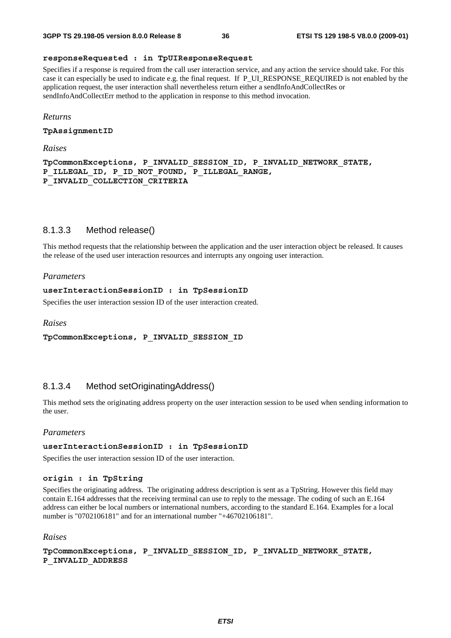#### **responseRequested : in TpUIResponseRequest**

Specifies if a response is required from the call user interaction service, and any action the service should take. For this case it can especially be used to indicate e.g. the final request. If P\_UI\_RESPONSE\_REQUIRED is not enabled by the application request, the user interaction shall nevertheless return either a sendInfoAndCollectRes or sendInfoAndCollectErr method to the application in response to this method invocation.

#### *Returns*

**TpAssignmentID** 

*Raises* 

**TpCommonExceptions, P\_INVALID\_SESSION\_ID, P\_INVALID\_NETWORK\_STATE, P\_ILLEGAL\_ID, P\_ID\_NOT\_FOUND, P\_ILLEGAL\_RANGE, P\_INVALID\_COLLECTION\_CRITERIA** 

### 8.1.3.3 Method release()

This method requests that the relationship between the application and the user interaction object be released. It causes the release of the used user interaction resources and interrupts any ongoing user interaction.

#### *Parameters*

#### **userInteractionSessionID : in TpSessionID**

Specifies the user interaction session ID of the user interaction created.

*Raises* 

**TpCommonExceptions, P\_INVALID\_SESSION\_ID** 

### 8.1.3.4 Method setOriginatingAddress()

This method sets the originating address property on the user interaction session to be used when sending information to the user.

#### *Parameters*

#### **userInteractionSessionID : in TpSessionID**

Specifies the user interaction session ID of the user interaction.

#### **origin : in TpString**

Specifies the originating address. The originating address description is sent as a TpString. However this field may contain E.164 addresses that the receiving terminal can use to reply to the message. The coding of such an E.164 address can either be local numbers or international numbers, according to the standard E.164. Examples for a local number is "0702106181" and for an international number "+46702106181".

#### *Raises*

**TpCommonExceptions, P\_INVALID\_SESSION\_ID, P\_INVALID\_NETWORK\_STATE, P\_INVALID\_ADDRESS**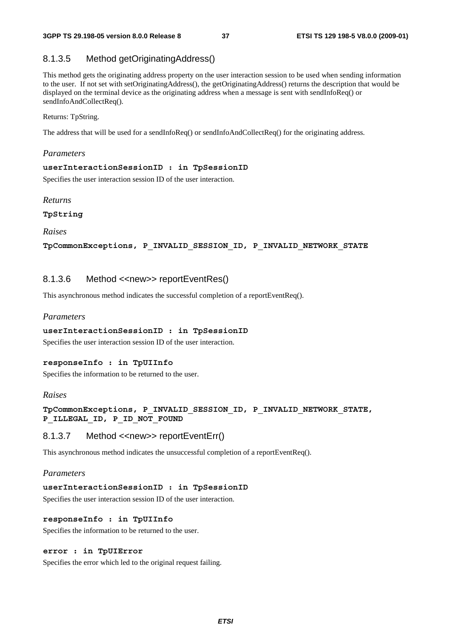### 8.1.3.5 Method getOriginatingAddress()

This method gets the originating address property on the user interaction session to be used when sending information to the user. If not set with setOriginatingAddress(), the getOriginatingAddress() returns the description that would be displayed on the terminal device as the originating address when a message is sent with sendInfoReq() or sendInfoAndCollectReq().

Returns: TpString.

The address that will be used for a sendInfoReq() or sendInfoAndCollectReq() for the originating address.

#### *Parameters*

#### **userInteractionSessionID : in TpSessionID**

Specifies the user interaction session ID of the user interaction.

*Returns* 

**TpString** 

*Raises* 

**TpCommonExceptions, P\_INVALID\_SESSION\_ID, P\_INVALID\_NETWORK\_STATE** 

### 8.1.3.6 Method <<new>> reportEventRes()

This asynchronous method indicates the successful completion of a reportEventReq().

#### *Parameters*

#### **userInteractionSessionID : in TpSessionID**

Specifies the user interaction session ID of the user interaction.

#### **responseInfo : in TpUIInfo**

Specifies the information to be returned to the user.

#### *Raises*

#### **TpCommonExceptions, P\_INVALID\_SESSION\_ID, P\_INVALID\_NETWORK\_STATE, P\_ILLEGAL\_ID, P\_ID\_NOT\_FOUND**

#### 8.1.3.7 Method <<new>> reportEventErr()

This asynchronous method indicates the unsuccessful completion of a reportEventReq().

#### *Parameters*

#### **userInteractionSessionID : in TpSessionID**

Specifies the user interaction session ID of the user interaction.

#### **responseInfo : in TpUIInfo**

Specifies the information to be returned to the user.

#### **error : in TpUIError**

Specifies the error which led to the original request failing.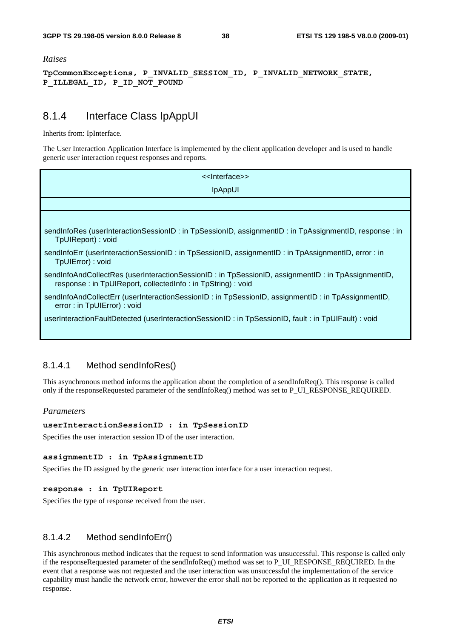#### *Raises*

**TpCommonExceptions, P\_INVALID\_SESSION\_ID, P\_INVALID\_NETWORK\_STATE, P\_ILLEGAL\_ID, P\_ID\_NOT\_FOUND** 

### 8.1.4 Interface Class IpAppUI

Inherits from: IpInterface.

The User Interaction Application Interface is implemented by the client application developer and is used to handle generic user interaction request responses and reports.

| < <lnterface>&gt;</lnterface>                                                                                                                                   |
|-----------------------------------------------------------------------------------------------------------------------------------------------------------------|
| <b>IpAppUI</b>                                                                                                                                                  |
|                                                                                                                                                                 |
|                                                                                                                                                                 |
| sendInfoRes (userInteractionSessionID: in TpSessionID, assignmentID: in TpAssignmentID, response: in<br>TpUIReport): void                                       |
| sendInfoErr (userInteractionSessionID : in TpSessionID, assignmentID : in TpAssignmentID, error : in<br>TpUIError): void                                        |
| sendInfoAndCollectRes (userInteractionSessionID: in TpSessionID, assignmentID: in TpAssignmentID,<br>response: in TpUIReport, collectedInfo: in TpString): void |
| sendInfoAndCollectErr (userInteractionSessionID: in TpSessionID, assignmentID: in TpAssignmentID,<br>error: in TpUIError): void                                 |
| userInteractionFaultDetected (userInteractionSessionID: in TpSessionID, fault: in TpUIFault): void                                                              |
|                                                                                                                                                                 |

### 8.1.4.1 Method sendInfoRes()

This asynchronous method informs the application about the completion of a sendInfoReq(). This response is called only if the responseRequested parameter of the sendInfoReq() method was set to P\_UI\_RESPONSE\_REQUIRED.

#### *Parameters*

#### **userInteractionSessionID : in TpSessionID**

Specifies the user interaction session ID of the user interaction.

#### **assignmentID : in TpAssignmentID**

Specifies the ID assigned by the generic user interaction interface for a user interaction request.

#### **response : in TpUIReport**

Specifies the type of response received from the user.

#### 8.1.4.2 Method sendInfoErr()

This asynchronous method indicates that the request to send information was unsuccessful. This response is called only if the responseRequested parameter of the sendInfoReq() method was set to P\_UI\_RESPONSE\_REQUIRED. In the event that a response was not requested and the user interaction was unsuccessful the implementation of the service capability must handle the network error, however the error shall not be reported to the application as it requested no response.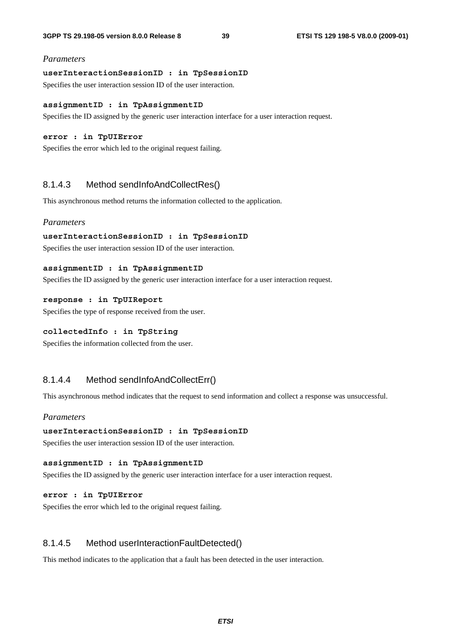#### *Parameters*

#### **userInteractionSessionID : in TpSessionID**

Specifies the user interaction session ID of the user interaction.

#### **assignmentID : in TpAssignmentID**

Specifies the ID assigned by the generic user interaction interface for a user interaction request.

#### **error : in TpUIError**

Specifies the error which led to the original request failing.

#### 8.1.4.3 Method sendInfoAndCollectRes()

This asynchronous method returns the information collected to the application.

#### *Parameters*

#### **userInteractionSessionID : in TpSessionID**

Specifies the user interaction session ID of the user interaction.

#### **assignmentID : in TpAssignmentID**

Specifies the ID assigned by the generic user interaction interface for a user interaction request.

#### **response : in TpUIReport**

Specifies the type of response received from the user.

#### **collectedInfo : in TpString**

Specifies the information collected from the user.

### 8.1.4.4 Method sendInfoAndCollectErr()

This asynchronous method indicates that the request to send information and collect a response was unsuccessful.

#### *Parameters*

#### **userInteractionSessionID : in TpSessionID**

Specifies the user interaction session ID of the user interaction.

#### **assignmentID : in TpAssignmentID**

Specifies the ID assigned by the generic user interaction interface for a user interaction request.

#### **error : in TpUIError**

Specifies the error which led to the original request failing.

### 8.1.4.5 Method userInteractionFaultDetected()

This method indicates to the application that a fault has been detected in the user interaction.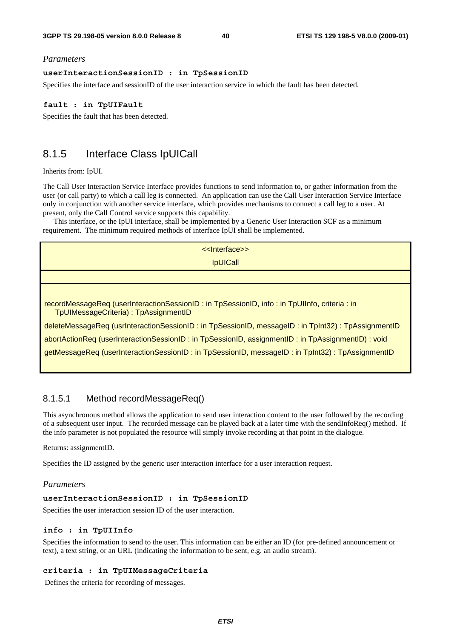#### *Parameters*

#### **userInteractionSessionID : in TpSessionID**

Specifies the interface and sessionID of the user interaction service in which the fault has been detected.

#### **fault : in TpUIFault**

Specifies the fault that has been detected.

### 8.1.5 Interface Class IpUICall

#### Inherits from: IpUI.

The Call User Interaction Service Interface provides functions to send information to, or gather information from the user (or call party) to which a call leg is connected. An application can use the Call User Interaction Service Interface only in conjunction with another service interface, which provides mechanisms to connect a call leg to a user. At present, only the Call Control service supports this capability.

 This interface, or the IpUI interface, shall be implemented by a Generic User Interaction SCF as a minimum requirement. The minimum required methods of interface IpUI shall be implemented.

> <<Interface>> IpUICall

recordMessageReq (userInteractionSessionID : in TpSessionID, info : in TpUIInfo, criteria : in TpUIMessageCriteria) : TpAssignmentID

deleteMessageReq (usrInteractionSessionID : in TpSessionID, messageID : in TpInt32) : TpAssignmentID

abortActionReq (userInteractionSessionID : in TpSessionID, assignmentID : in TpAssignmentID) : void

getMessageReq (userInteractionSessionID : in TpSessionID, messageID : in TpInt32) : TpAssignmentID

### 8.1.5.1 Method recordMessageReq()

This asynchronous method allows the application to send user interaction content to the user followed by the recording of a subsequent user input. The recorded message can be played back at a later time with the sendInfoReq() method. If the info parameter is not populated the resource will simply invoke recording at that point in the dialogue.

Returns: assignmentID.

Specifies the ID assigned by the generic user interaction interface for a user interaction request.

#### *Parameters*

#### **userInteractionSessionID : in TpSessionID**

Specifies the user interaction session ID of the user interaction.

#### **info : in TpUIInfo**

Specifies the information to send to the user. This information can be either an ID (for pre-defined announcement or text), a text string, or an URL (indicating the information to be sent, e.g. an audio stream).

#### **criteria : in TpUIMessageCriteria**

Defines the criteria for recording of messages.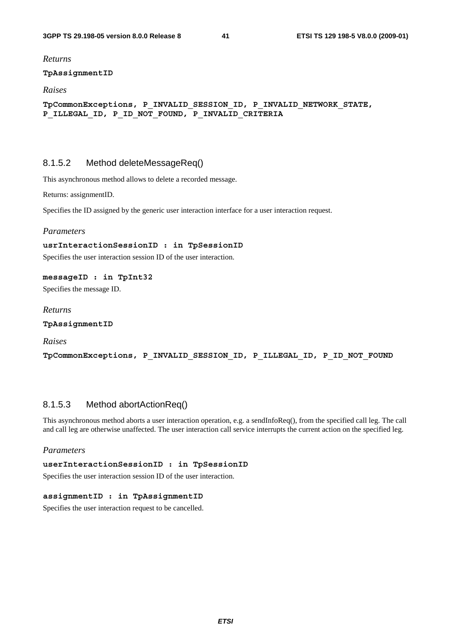*Returns* 

#### **TpAssignmentID**

#### *Raises*

**TpCommonExceptions, P\_INVALID\_SESSION\_ID, P\_INVALID\_NETWORK\_STATE, P\_ILLEGAL\_ID, P\_ID\_NOT\_FOUND, P\_INVALID\_CRITERIA** 

### 8.1.5.2 Method deleteMessageReq()

This asynchronous method allows to delete a recorded message.

Returns: assignmentID.

Specifies the ID assigned by the generic user interaction interface for a user interaction request.

#### *Parameters*

#### **usrInteractionSessionID : in TpSessionID**

Specifies the user interaction session ID of the user interaction.

#### **messageID : in TpInt32**

Specifies the message ID.

*Returns* 

**TpAssignmentID** 

*Raises* 

**TpCommonExceptions, P\_INVALID\_SESSION\_ID, P\_ILLEGAL\_ID, P\_ID\_NOT\_FOUND** 

### 8.1.5.3 Method abortActionReq()

This asynchronous method aborts a user interaction operation, e.g. a sendInfoReq(), from the specified call leg. The call and call leg are otherwise unaffected. The user interaction call service interrupts the current action on the specified leg.

#### *Parameters*

#### **userInteractionSessionID : in TpSessionID**

Specifies the user interaction session ID of the user interaction.

#### **assignmentID : in TpAssignmentID**

Specifies the user interaction request to be cancelled.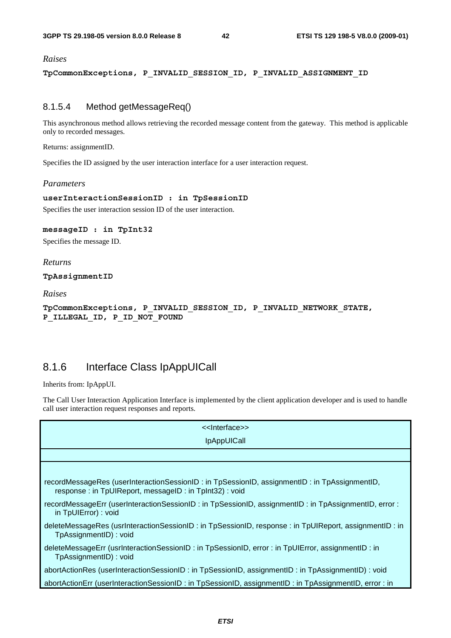#### *Raises*

**TpCommonExceptions, P\_INVALID\_SESSION\_ID, P\_INVALID\_ASSIGNMENT\_ID** 

### 8.1.5.4 Method getMessageReq()

This asynchronous method allows retrieving the recorded message content from the gateway. This method is applicable only to recorded messages.

Returns: assignmentID.

Specifies the ID assigned by the user interaction interface for a user interaction request.

#### *Parameters*

#### **userInteractionSessionID : in TpSessionID**

Specifies the user interaction session ID of the user interaction.

#### **messageID : in TpInt32**

Specifies the message ID.

#### *Returns*

**TpAssignmentID** 

*Raises* 

**TpCommonExceptions, P\_INVALID\_SESSION\_ID, P\_INVALID\_NETWORK\_STATE, P\_ILLEGAL\_ID, P\_ID\_NOT\_FOUND** 

### 8.1.6 Interface Class IpAppUICall

Inherits from: IpAppUI.

The Call User Interaction Application Interface is implemented by the client application developer and is used to handle call user interaction request responses and reports.

| <b>IpAppUICall</b>                                                                                                                                    |
|-------------------------------------------------------------------------------------------------------------------------------------------------------|
|                                                                                                                                                       |
|                                                                                                                                                       |
|                                                                                                                                                       |
| recordMessageRes (userInteractionSessionID: in TpSessionID, assignmentID: in TpAssignmentID,<br>response: in TpUIReport, messageID: in TpInt32): void |
| recordMessageErr (userInteractionSessionID: in TpSessionID, assignmentID: in TpAssignmentID, error:<br>in TpUIError): void                            |
| deleteMessageRes (usrInteractionSessionID : in TpSessionID, response : in TpUIReport, assignmentID : in<br>TpAssignmentID) : void                     |
| deleteMessageErr (usrInteractionSessionID: in TpSessionID, error : in TpUIError, assignmentID: in<br>TpAssignmentID) : void                           |
| abortActionRes (userInteractionSessionID : in TpSessionID, assignmentID : in TpAssignmentID) : void                                                   |
| abortActionErr (userInteractionSessionID: in TpSessionID, assignmentID: in TpAssignmentID, error: in                                                  |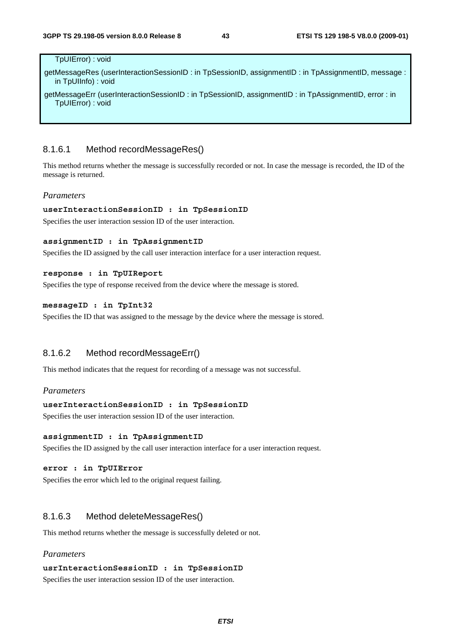#### TpUIError) : void

getMessageRes (userInteractionSessionID : in TpSessionID, assignmentID : in TpAssignmentID, message : in TpUIInfo) : void

getMessageErr (userInteractionSessionID : in TpSessionID, assignmentID : in TpAssignmentID, error : in TpUIError) : void

### 8.1.6.1 Method recordMessageRes()

This method returns whether the message is successfully recorded or not. In case the message is recorded, the ID of the message is returned.

#### *Parameters*

#### **userInteractionSessionID : in TpSessionID**

Specifies the user interaction session ID of the user interaction.

#### **assignmentID : in TpAssignmentID**

Specifies the ID assigned by the call user interaction interface for a user interaction request.

#### **response : in TpUIReport**

Specifies the type of response received from the device where the message is stored.

#### **messageID : in TpInt32**

Specifies the ID that was assigned to the message by the device where the message is stored.

#### 8.1.6.2 Method recordMessageErr()

This method indicates that the request for recording of a message was not successful.

#### *Parameters*

#### **userInteractionSessionID : in TpSessionID**

Specifies the user interaction session ID of the user interaction.

#### **assignmentID : in TpAssignmentID**

Specifies the ID assigned by the call user interaction interface for a user interaction request.

#### **error : in TpUIError**

Specifies the error which led to the original request failing.

#### 8.1.6.3 Method deleteMessageRes()

This method returns whether the message is successfully deleted or not.

#### *Parameters*

#### **usrInteractionSessionID : in TpSessionID**

Specifies the user interaction session ID of the user interaction.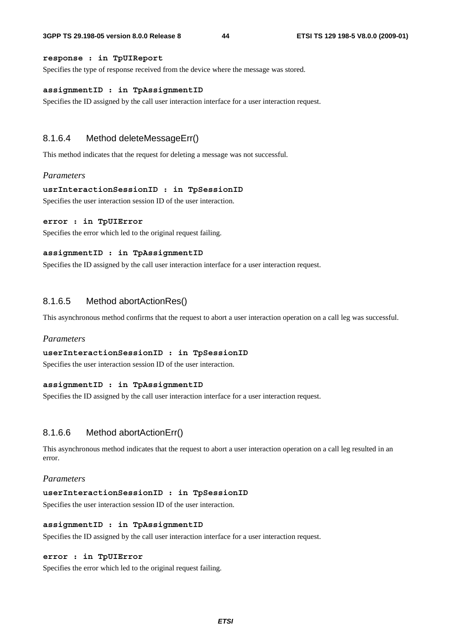#### **response : in TpUIReport**

Specifies the type of response received from the device where the message was stored.

#### **assignmentID : in TpAssignmentID**

Specifies the ID assigned by the call user interaction interface for a user interaction request.

#### 8.1.6.4 Method deleteMessageErr()

This method indicates that the request for deleting a message was not successful.

#### *Parameters*

#### **usrInteractionSessionID : in TpSessionID**

Specifies the user interaction session ID of the user interaction.

#### **error : in TpUIError**

Specifies the error which led to the original request failing.

#### **assignmentID : in TpAssignmentID**

Specifies the ID assigned by the call user interaction interface for a user interaction request.

#### 8.1.6.5 Method abortActionRes()

This asynchronous method confirms that the request to abort a user interaction operation on a call leg was successful.

#### *Parameters*

#### **userInteractionSessionID : in TpSessionID**

Specifies the user interaction session ID of the user interaction.

#### **assignmentID : in TpAssignmentID**

Specifies the ID assigned by the call user interaction interface for a user interaction request.

### 8.1.6.6 Method abortActionErr()

This asynchronous method indicates that the request to abort a user interaction operation on a call leg resulted in an error.

#### *Parameters*

#### **userInteractionSessionID : in TpSessionID**

Specifies the user interaction session ID of the user interaction.

#### **assignmentID : in TpAssignmentID**

Specifies the ID assigned by the call user interaction interface for a user interaction request.

#### **error : in TpUIError**

Specifies the error which led to the original request failing.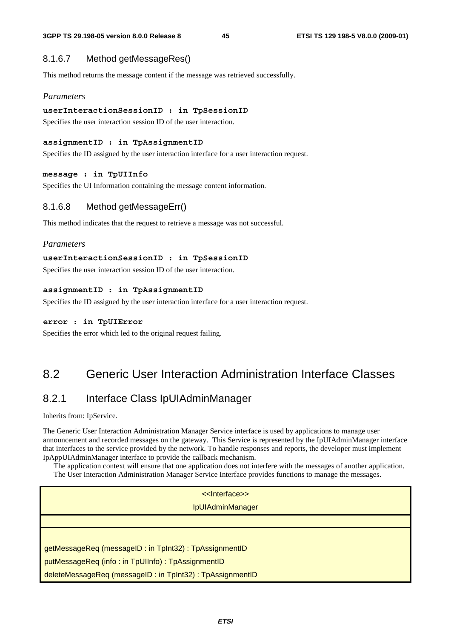### 8.1.6.7 Method getMessageRes()

This method returns the message content if the message was retrieved successfully.

### *Parameters*

#### **userInteractionSessionID : in TpSessionID**

Specifies the user interaction session ID of the user interaction.

#### **assignmentID : in TpAssignmentID**

Specifies the ID assigned by the user interaction interface for a user interaction request.

#### **message : in TpUIInfo**

Specifies the UI Information containing the message content information.

### 8.1.6.8 Method getMessageErr()

This method indicates that the request to retrieve a message was not successful.

#### *Parameters*

#### **userInteractionSessionID : in TpSessionID**

Specifies the user interaction session ID of the user interaction.

#### **assignmentID : in TpAssignmentID**

Specifies the ID assigned by the user interaction interface for a user interaction request.

#### **error : in TpUIError**

Specifies the error which led to the original request failing.

### 8.2 Generic User Interaction Administration Interface Classes

### 8.2.1 Interface Class IpUIAdminManager

Inherits from: IpService.

The Generic User Interaction Administration Manager Service interface is used by applications to manage user announcement and recorded messages on the gateway. This Service is represented by the IpUIAdminManager interface that interfaces to the service provided by the network. To handle responses and reports, the developer must implement IpAppUIAdminManager interface to provide the callback mechanism.

 The application context will ensure that one application does not interfere with the messages of another application. The User Interaction Administration Manager Service Interface provides functions to manage the messages.

| < <lnterface>&gt;</lnterface>                            |
|----------------------------------------------------------|
| <b>IpUIAdminManager</b>                                  |
|                                                          |
|                                                          |
| getMessageReq (messageID: in TpInt32): TpAssignmentID    |
| putMessageReq (info: in TpUIInfo): TpAssignmentID        |
| deleteMessageReq (messageID: in TpInt32): TpAssignmentID |
|                                                          |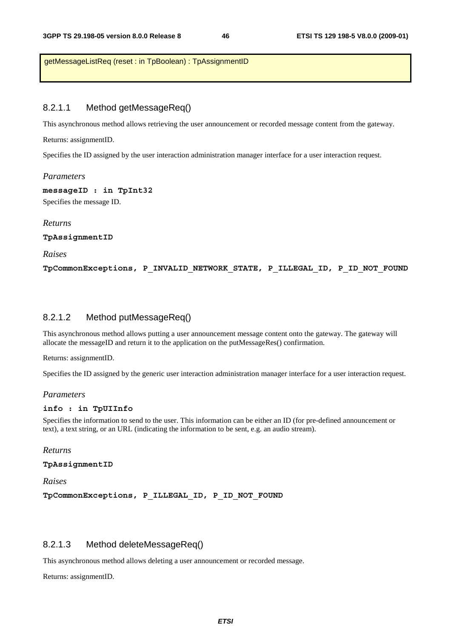getMessageListReq (reset : in TpBoolean) : TpAssignmentID

### 8.2.1.1 Method getMessageReq()

This asynchronous method allows retrieving the user announcement or recorded message content from the gateway.

Returns: assignmentID.

Specifies the ID assigned by the user interaction administration manager interface for a user interaction request.

*Parameters* 

**messageID : in TpInt32** 

Specifies the message ID.

#### *Returns*

**TpAssignmentID** 

*Raises* 

**TpCommonExceptions, P\_INVALID\_NETWORK\_STATE, P\_ILLEGAL\_ID, P\_ID\_NOT\_FOUND** 

### 8.2.1.2 Method putMessageReq()

This asynchronous method allows putting a user announcement message content onto the gateway. The gateway will allocate the messageID and return it to the application on the putMessageRes() confirmation.

Returns: assignmentID.

Specifies the ID assigned by the generic user interaction administration manager interface for a user interaction request.

#### *Parameters*

#### **info : in TpUIInfo**

Specifies the information to send to the user. This information can be either an ID (for pre-defined announcement or text), a text string, or an URL (indicating the information to be sent, e.g. an audio stream).

*Returns* 

**TpAssignmentID** 

*Raises* 

**TpCommonExceptions, P\_ILLEGAL\_ID, P\_ID\_NOT\_FOUND** 

### 8.2.1.3 Method deleteMessageReq()

This asynchronous method allows deleting a user announcement or recorded message.

Returns: assignmentID.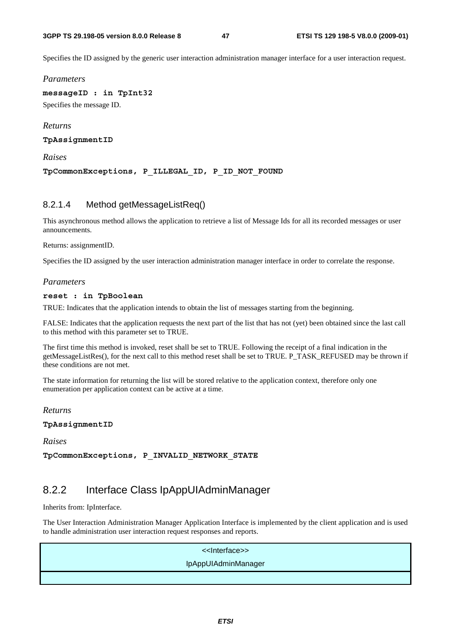Specifies the ID assigned by the generic user interaction administration manager interface for a user interaction request.

*Parameters* 

**messageID : in TpInt32**  Specifies the message ID.

*Returns* 

**TpAssignmentID** 

*Raises* 

**TpCommonExceptions, P\_ILLEGAL\_ID, P\_ID\_NOT\_FOUND** 

### 8.2.1.4 Method getMessageListReq()

This asynchronous method allows the application to retrieve a list of Message Ids for all its recorded messages or user announcements.

Returns: assignmentID.

Specifies the ID assigned by the user interaction administration manager interface in order to correlate the response.

#### *Parameters*

#### **reset : in TpBoolean**

TRUE: Indicates that the application intends to obtain the list of messages starting from the beginning.

FALSE: Indicates that the application requests the next part of the list that has not (yet) been obtained since the last call to this method with this parameter set to TRUE.

The first time this method is invoked, reset shall be set to TRUE. Following the receipt of a final indication in the getMessageListRes(), for the next call to this method reset shall be set to TRUE. P\_TASK\_REFUSED may be thrown if these conditions are not met.

The state information for returning the list will be stored relative to the application context, therefore only one enumeration per application context can be active at a time.

*Returns* 

**TpAssignmentID** 

*Raises* 

**TpCommonExceptions, P\_INVALID\_NETWORK\_STATE** 

### 8.2.2 Interface Class IpAppUIAdminManager

Inherits from: IpInterface.

The User Interaction Administration Manager Application Interface is implemented by the client application and is used to handle administration user interaction request responses and reports.

| < <lnterface>&gt;</lnterface> |
|-------------------------------|
| IpAppUIAdminManager           |
|                               |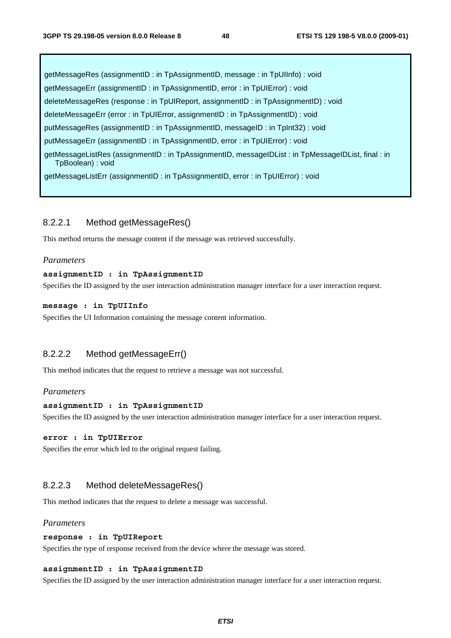getMessageRes (assignmentID : in TpAssignmentID, message : in TpUIInfo) : void getMessageErr (assignmentID : in TpAssignmentID, error : in TpUIError) : void deleteMessageRes (response : in TpUIReport, assignmentID : in TpAssignmentID) : void deleteMessageErr (error : in TpUIError, assignmentID : in TpAssignmentID) : void putMessageRes (assignmentID : in TpAssignmentID, messageID : in TpInt32) : void putMessageErr (assignmentID : in TpAssignmentID, error : in TpUIError) : void getMessageListRes (assignmentID : in TpAssignmentID, messageIDList : in TpMessageIDList, final : in TpBoolean) : void getMessageListErr (assignmentID : in TpAssignmentID, error : in TpUIError) : void

### 8.2.2.1 Method getMessageRes()

This method returns the message content if the message was retrieved successfully.

#### *Parameters*

#### **assignmentID : in TpAssignmentID**

Specifies the ID assigned by the user interaction administration manager interface for a user interaction request.

#### **message : in TpUIInfo**

Specifies the UI Information containing the message content information.

### 8.2.2.2 Method getMessageErr()

This method indicates that the request to retrieve a message was not successful.

#### *Parameters*

#### **assignmentID : in TpAssignmentID**

Specifies the ID assigned by the user interaction administration manager interface for a user interaction request.

#### **error : in TpUIError**

Specifies the error which led to the original request failing.

#### 8.2.2.3 Method deleteMessageRes()

This method indicates that the request to delete a message was successful.

#### *Parameters*

#### **response : in TpUIReport**

Specifies the type of response received from the device where the message was stored.

#### **assignmentID : in TpAssignmentID**

Specifies the ID assigned by the user interaction administration manager interface for a user interaction request.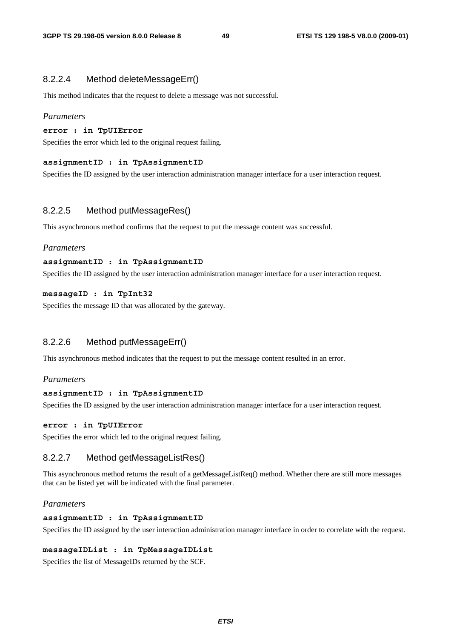### 8.2.2.4 Method deleteMessageErr()

This method indicates that the request to delete a message was not successful.

#### *Parameters*

#### **error : in TpUIError**

Specifies the error which led to the original request failing.

#### **assignmentID : in TpAssignmentID**

Specifies the ID assigned by the user interaction administration manager interface for a user interaction request.

#### 8.2.2.5 Method putMessageRes()

This asynchronous method confirms that the request to put the message content was successful.

#### *Parameters*

#### **assignmentID : in TpAssignmentID**

Specifies the ID assigned by the user interaction administration manager interface for a user interaction request.

#### **messageID : in TpInt32**

Specifies the message ID that was allocated by the gateway.

### 8.2.2.6 Method putMessageErr()

This asynchronous method indicates that the request to put the message content resulted in an error.

#### *Parameters*

#### **assignmentID : in TpAssignmentID**

Specifies the ID assigned by the user interaction administration manager interface for a user interaction request.

#### **error : in TpUIError**

Specifies the error which led to the original request failing.

#### 8.2.2.7 Method getMessageListRes()

This asynchronous method returns the result of a getMessageListReq() method. Whether there are still more messages that can be listed yet will be indicated with the final parameter.

#### *Parameters*

### **assignmentID : in TpAssignmentID**

Specifies the ID assigned by the user interaction administration manager interface in order to correlate with the request.

#### **messageIDList : in TpMessageIDList**

Specifies the list of MessageIDs returned by the SCF.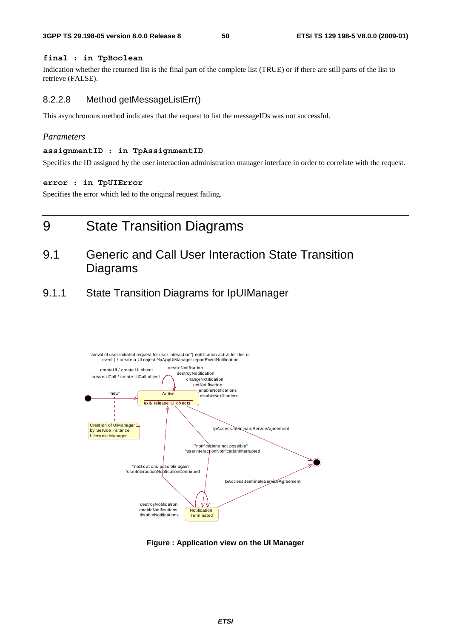#### **final : in TpBoolean**

Indication whether the returned list is the final part of the complete list (TRUE) or if there are still parts of the list to retrieve (FALSE).

### 8.2.2.8 Method getMessageListErr()

This asynchronous method indicates that the request to list the messageIDs was not successful.

#### *Parameters*

#### **assignmentID : in TpAssignmentID**

Specifies the ID assigned by the user interaction administration manager interface in order to correlate with the request.

#### **error : in TpUIError**

Specifies the error which led to the original request failing.

# 9 State Transition Diagrams

### 9.1 Generic and Call User Interaction State Transition Diagrams

9.1.1 State Transition Diagrams for IpUIManager



**Figure : Application view on the UI Manager**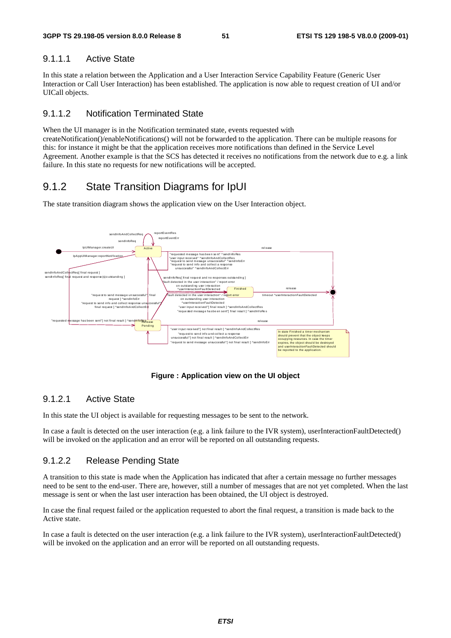### 9.1.1.1 Active State

In this state a relation between the Application and a User Interaction Service Capability Feature (Generic User Interaction or Call User Interaction) has been established. The application is now able to request creation of UI and/or UICall objects.

### 9.1.1.2 Notification Terminated State

When the UI manager is in the Notification terminated state, events requested with createNotification()/enableNotifications() will not be forwarded to the application. There can be multiple reasons for this: for instance it might be that the application receives more notifications than defined in the Service Level Agreement. Another example is that the SCS has detected it receives no notifications from the network due to e.g. a link failure. In this state no requests for new notifications will be accepted.

### 9.1.2 State Transition Diagrams for IpUI

The state transition diagram shows the application view on the User Interaction object.



**Figure : Application view on the UI object** 

### 9.1.2.1 Active State

In this state the UI object is available for requesting messages to be sent to the network.

In case a fault is detected on the user interaction (e.g. a link failure to the IVR system), userInteractionFaultDetected() will be invoked on the application and an error will be reported on all outstanding requests.

### 9.1.2.2 Release Pending State

A transition to this state is made when the Application has indicated that after a certain message no further messages need to be sent to the end-user. There are, however, still a number of messages that are not yet completed. When the last message is sent or when the last user interaction has been obtained, the UI object is destroyed.

In case the final request failed or the application requested to abort the final request, a transition is made back to the Active state.

In case a fault is detected on the user interaction (e.g. a link failure to the IVR system), userInteractionFaultDetected() will be invoked on the application and an error will be reported on all outstanding requests.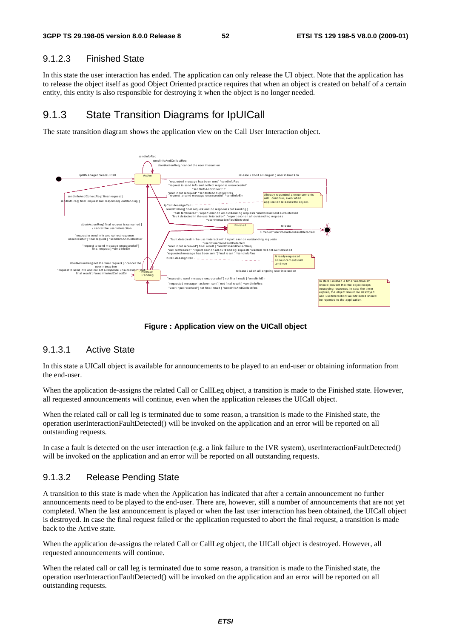### 9.1.2.3 Finished State

In this state the user interaction has ended. The application can only release the UI object. Note that the application has to release the object itself as good Object Oriented practice requires that when an object is created on behalf of a certain entity, this entity is also responsible for destroying it when the object is no longer needed.

### 9.1.3 State Transition Diagrams for IpUICall

The state transition diagram shows the application view on the Call User Interaction object.



**Figure : Application view on the UICall object** 

### 9.1.3.1 Active State

In this state a UICall object is available for announcements to be played to an end-user or obtaining information from the end-user.

When the application de-assigns the related Call or CallLeg object, a transition is made to the Finished state. However, all requested announcements will continue, even when the application releases the UICall object.

When the related call or call leg is terminated due to some reason, a transition is made to the Finished state, the operation userInteractionFaultDetected() will be invoked on the application and an error will be reported on all outstanding requests.

In case a fault is detected on the user interaction (e.g. a link failure to the IVR system), userInteractionFaultDetected() will be invoked on the application and an error will be reported on all outstanding requests.

### 9.1.3.2 Release Pending State

A transition to this state is made when the Application has indicated that after a certain announcement no further announcements need to be played to the end-user. There are, however, still a number of announcements that are not yet completed. When the last announcement is played or when the last user interaction has been obtained, the UICall object is destroyed. In case the final request failed or the application requested to abort the final request, a transition is made back to the Active state.

When the application de-assigns the related Call or CallLeg object, the UICall object is destroyed. However, all requested announcements will continue.

When the related call or call leg is terminated due to some reason, a transition is made to the Finished state, the operation userInteractionFaultDetected() will be invoked on the application and an error will be reported on all outstanding requests.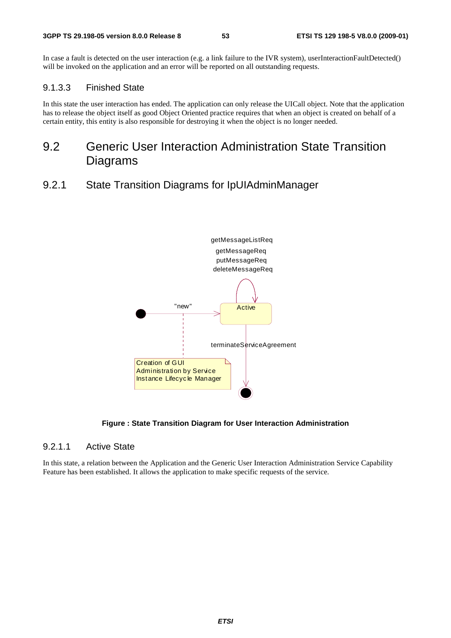In case a fault is detected on the user interaction (e.g. a link failure to the IVR system), userInteractionFaultDetected() will be invoked on the application and an error will be reported on all outstanding requests.

### 9.1.3.3 Finished State

In this state the user interaction has ended. The application can only release the UICall object. Note that the application has to release the object itself as good Object Oriented practice requires that when an object is created on behalf of a certain entity, this entity is also responsible for destroying it when the object is no longer needed.

### 9.2 Generic User Interaction Administration State Transition Diagrams

9.2.1 State Transition Diagrams for IpUIAdminManager



#### **Figure : State Transition Diagram for User Interaction Administration**

### 9.2.1.1 Active State

In this state, a relation between the Application and the Generic User Interaction Administration Service Capability Feature has been established. It allows the application to make specific requests of the service.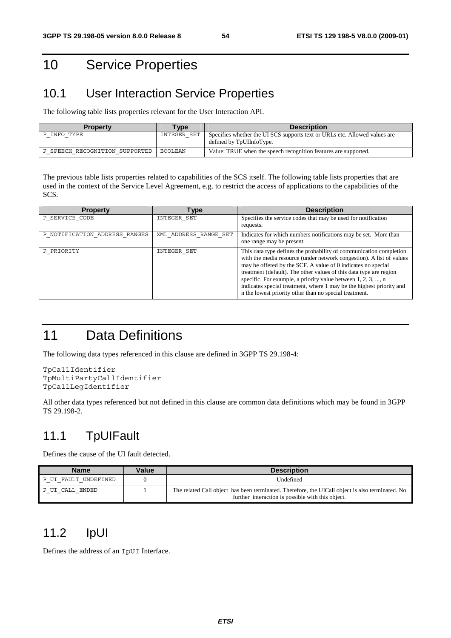# 10 Service Properties

### 10.1 User Interaction Service Properties

The following table lists properties relevant for the User Interaction API.

| <b>Property</b>                | <b>Type</b> | <b>Description</b>                                                                                    |
|--------------------------------|-------------|-------------------------------------------------------------------------------------------------------|
| P INFO TYPE                    | INTEGER SET | Specifies whether the UISCS supports text or URLs etc. Allowed values are<br>defined by TpUIInfoType. |
| P SPEECH RECOGNITION SUPPORTED | BOOLEAN     | Value: TRUE when the speech recognition features are supported.                                       |

The previous table lists properties related to capabilities of the SCS itself. The following table lists properties that are used in the context of the Service Level Agreement, e.g. to restrict the access of applications to the capabilities of the SCS.

| <b>Property</b>               | <b>Type</b>           | <b>Description</b>                                                                                                                                                                                                                                                                                                                                                                                                                                                                  |
|-------------------------------|-----------------------|-------------------------------------------------------------------------------------------------------------------------------------------------------------------------------------------------------------------------------------------------------------------------------------------------------------------------------------------------------------------------------------------------------------------------------------------------------------------------------------|
| P SERVICE CODE                | INTEGER SET           | Specifies the service codes that may be used for notification<br>requests.                                                                                                                                                                                                                                                                                                                                                                                                          |
| P NOTIFICATION ADDRESS RANGES | XML ADDRESS RANGE SET | Indicates for which numbers notifications may be set. More than<br>one range may be present.                                                                                                                                                                                                                                                                                                                                                                                        |
| P PRIORITY                    | INTEGER SET           | This data type defines the probability of communication completion<br>with the media resource (under network congestion). A list of values<br>may be offered by the SCF. A value of 0 indicates no special<br>treatment (default). The other values of this data type are region<br>specific. For example, a priority value between 1, 2, 3, , n<br>indicates special treatment, where 1 may be the highest priority and<br>is the lowest priority other than no special treatment. |

# 11 Data Definitions

The following data types referenced in this clause are defined in 3GPP TS 29.198-4:

```
TpCallIdentifier 
TpMultiPartyCallIdentifier 
TpCallLegIdentifier
```
All other data types referenced but not defined in this clause are common data definitions which may be found in 3GPP TS 29.198-2.

### 11.1 TpUIFault

Defines the cause of the UI fault detected.

| <b>Name</b>          | Value | <b>Description</b>                                                                                                                                    |
|----------------------|-------|-------------------------------------------------------------------------------------------------------------------------------------------------------|
| P UI FAULT UNDEFINED |       | Undefined                                                                                                                                             |
| P UI CALL ENDED      |       | The related Call object has been terminated. Therefore, the UICall object is also terminated. No<br>further interaction is possible with this object. |

# 11.2 IpUI

Defines the address of an IpUI Interface.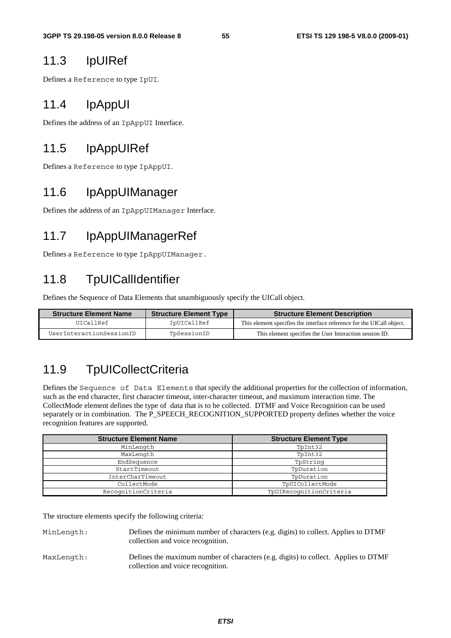### 11.3 IpUIRef

Defines a Reference to type IpUI.

### 11.4 IpAppUI

Defines the address of an IpAppUI Interface.

## 11.5 IpAppUIRef

Defines a Reference to type IpAppUI.

### 11.6 IpAppUIManager

Defines the address of an IpAppUIManager Interface.

# 11.7 IpAppUIManagerRef

Defines a Reference to type IpAppUIManager.

# 11.8 TpUICallIdentifier

Defines the Sequence of Data Elements that unambiguously specify the UICall object.

| <b>Structure Element Name</b> | <b>Structure Element Type</b> | <b>Structure Element Description</b>                                  |
|-------------------------------|-------------------------------|-----------------------------------------------------------------------|
| IITCA1IRef                    | IpUICallRef                   | This element specifies the interface reference for the UICall object. |
| UserInteractionSessionID      | TpSessionID                   | This element specifies the User Interaction session ID.               |

# 11.9 TpUICollectCriteria

Defines the Sequence of Data Elements that specify the additional properties for the collection of information, such as the end character, first character timeout, inter-character timeout, and maximum interaction time. The CollectMode element defines the type of data that is to be collected. DTMF and Voice Recognition can be used separately or in combination. The P\_SPEECH\_RECOGNITION\_SUPPORTED property defines whether the voice recognition features are supported.

| <b>Structure Element Name</b> | <b>Structure Element Type</b> |
|-------------------------------|-------------------------------|
| MinLength                     | TpInt32                       |
| MaxLength                     | TpInt32                       |
| EndSequence                   | TpString                      |
| StartTimeout                  | TpDuration                    |
| InterCharTimeout              | TpDuration                    |
| CollectMode                   | TpUICollectMode               |
| RecognitionCriteria           | TpUIRecognitionCriteria       |

The structure elements specify the following criteria:

| MinLength: | Defines the minimum number of characters (e.g. digits) to collect. Applies to DTMF |
|------------|------------------------------------------------------------------------------------|
|            | collection and voice recognition.                                                  |
|            |                                                                                    |

MaxLength: Defines the maximum number of characters (e.g. digits) to collect. Applies to DTMF collection and voice recognition.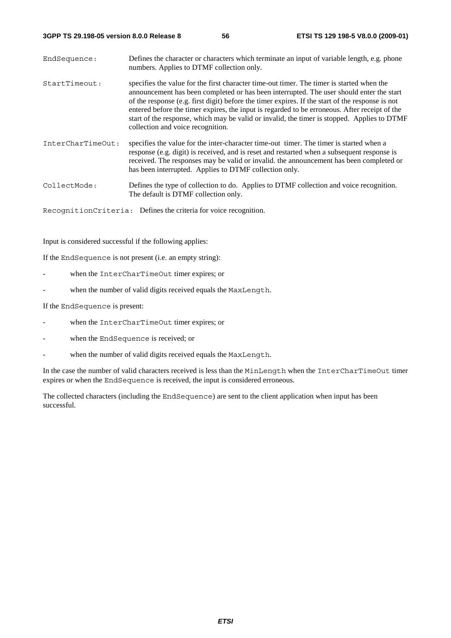| EndSequence:      | Defines the character or characters which terminate an input of variable length, e.g. phone<br>numbers. Applies to DTMF collection only.                                                                                                                                                                                                                                                                                                                                                                                       |
|-------------------|--------------------------------------------------------------------------------------------------------------------------------------------------------------------------------------------------------------------------------------------------------------------------------------------------------------------------------------------------------------------------------------------------------------------------------------------------------------------------------------------------------------------------------|
| StartTimeout:     | specifies the value for the first character time-out timer. The timer is started when the<br>announcement has been completed or has been interrupted. The user should enter the start<br>of the response (e.g. first digit) before the timer expires. If the start of the response is not<br>entered before the timer expires, the input is regarded to be erroneous. After receipt of the<br>start of the response, which may be valid or invalid, the timer is stopped. Applies to DTMF<br>collection and voice recognition. |
| InterCharTimeOut: | specifies the value for the inter-character time-out timer. The timer is started when a<br>response (e.g. digit) is received, and is reset and restarted when a subsequent response is<br>received. The responses may be valid or invalid, the announcement has been completed or<br>has been interrupted. Applies to DTMF collection only.                                                                                                                                                                                    |
| CollectMode:      | Defines the type of collection to do. Applies to DTMF collection and voice recognition.<br>The default is DTMF collection only.                                                                                                                                                                                                                                                                                                                                                                                                |

RecognitionCriteria: Defines the criteria for voice recognition.

Input is considered successful if the following applies:

If the EndSequence is not present (i.e. an empty string):

- when the InterCharTimeOut timer expires; or
- when the number of valid digits received equals the MaxLength.

If the EndSequence is present:

- when the InterCharTimeOut timer expires; or
- when the EndSequence is received; or
- when the number of valid digits received equals the MaxLength.

In the case the number of valid characters received is less than the MinLength when the InterCharTimeOut timer expires or when the EndSequence is received, the input is considered erroneous.

The collected characters (including the EndSequence) are sent to the client application when input has been successful.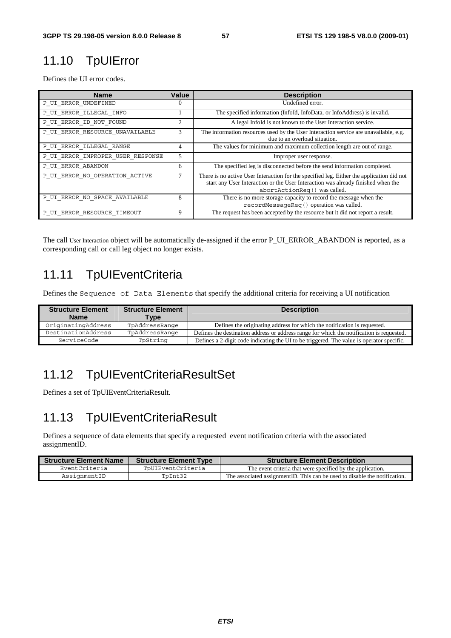# 11.10 TpUIError

Defines the UI error codes.

| <b>Name</b>                       | Value          | <b>Description</b>                                                                                                                                                                                            |
|-----------------------------------|----------------|---------------------------------------------------------------------------------------------------------------------------------------------------------------------------------------------------------------|
| P UI ERROR UNDEFINED              | $\Omega$       | Undefined error.                                                                                                                                                                                              |
| P UI ERROR ILLEGAL INFO           |                | The specified information (InfoId, InfoData, or InfoAddress) is invalid.                                                                                                                                      |
| P UI ERROR ID NOT FOUND           | $\overline{c}$ | A legal Infold is not known to the User Interaction service.                                                                                                                                                  |
| P UI ERROR RESOURCE UNAVAILABLE   | 3              | The information resources used by the User Interaction service are unavailable, e.g.<br>due to an overload situation.                                                                                         |
| P UI ERROR ILLEGAL RANGE          | 4              | The values for minimum and maximum collection length are out of range.                                                                                                                                        |
| P UI ERROR IMPROPER USER RESPONSE | 5              | Improper user response.                                                                                                                                                                                       |
| P UI ERROR ABANDON                | 6              | The specified leg is disconnected before the send information completed.                                                                                                                                      |
| P UI ERROR NO OPERATION ACTIVE    |                | There is no active User Interaction for the specified leg. Either the application did not<br>start any User Interaction or the User Interaction was already finished when the<br>abortActionReq() was called. |
| P UI ERROR NO SPACE AVAILABLE     | 8              | There is no more storage capacity to record the message when the<br>recordMessaqeReq() operation was called.                                                                                                  |
| P UI ERROR RESOURCE TIMEOUT       | 9              | The request has been accepted by the resource but it did not report a result.                                                                                                                                 |

The call User Interaction object will be automatically de-assigned if the error P\_UI\_ERROR\_ABANDON is reported, as a corresponding call or call leg object no longer exists.

# 11.11 TpUIEventCriteria

Defines the Sequence of Data Elements that specify the additional criteria for receiving a UI notification

| <b>Structure Element</b><br><b>Name</b> | <b>Structure Element</b><br><b>Type</b> | <b>Description</b>                                                                        |
|-----------------------------------------|-----------------------------------------|-------------------------------------------------------------------------------------------|
| OriginatingAddress                      | TpAddressRange                          | Defines the originating address for which the notification is requested.                  |
| DestinationAddress                      | TpAddressRange                          | Defines the destination address or address range for which the notification is requested. |
| ServiceCode                             | TpString                                | Defines a 2-digit code indicating the UI to be triggered. The value is operator specific. |

# 11.12 TpUIEventCriteriaResultSet

Defines a set of TpUIEventCriteriaResult.

# 11.13 TpUIEventCriteriaResult

Defines a sequence of data elements that specify a requested event notification criteria with the associated assignmentID.

| <b>Structure Element Name</b> | <b>Structure Element Type</b> | <b>Structure Element Description</b>                                        |
|-------------------------------|-------------------------------|-----------------------------------------------------------------------------|
| EventCriteria                 | TpUIEventCriteria             | The event criteria that were specified by the application.                  |
| AssignmentID                  | TpInt32                       | The associated assignment ID. This can be used to disable the notification. |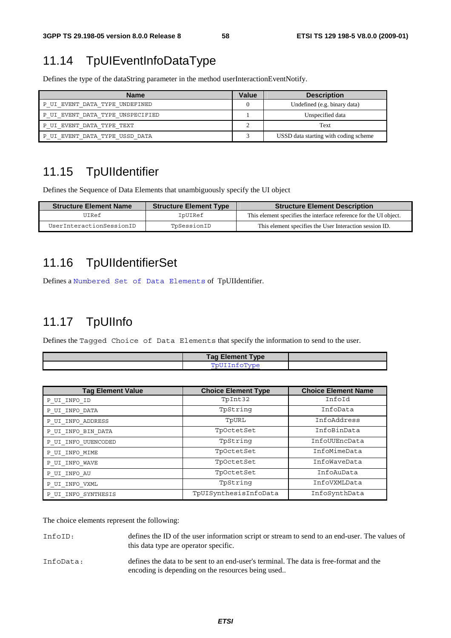# 11.14 TpUIEventInfoDataType

Defines the type of the dataString parameter in the method userInteractionEventNotify.

| Name                             | Value | <b>Description</b>                    |
|----------------------------------|-------|---------------------------------------|
| P UI EVENT DATA TYPE UNDEFINED   |       | Undefined (e.g. binary data)          |
| P UI EVENT DATA TYPE UNSPECIFIED |       | Unspecified data                      |
| P UI EVENT DATA TYPE TEXT        |       | Text                                  |
| P UI EVENT DATA TYPE USSD DATA   |       | USSD data starting with coding scheme |

# 11.15 TpUIIdentifier

Defines the Sequence of Data Elements that unambiguously specify the UI object

| <b>Structure Element Name</b> | <b>Structure Element Type</b> | <b>Structure Element Description</b>                              |
|-------------------------------|-------------------------------|-------------------------------------------------------------------|
| UIRef                         | IpUIRef                       | This element specifies the interface reference for the UI object. |
| UserInteractionSessionID      | TpSessionID                   | This element specifies the User Interaction session ID.           |

# 11.16 TpUIIdentifierSet

Defines a Numbered Set of Data Elements of TpUIIdentifier.

# 11.17 TpUIInfo

Defines the Tagged Choice of Data Elements that specify the information to send to the user.

| <b>Tag Element Type</b> |  |
|-------------------------|--|
| PnIIT                   |  |

| <b>Tag Element Value</b> | <b>Choice Element Type</b> | <b>Choice Element Name</b> |
|--------------------------|----------------------------|----------------------------|
| P UI INFO ID             | TpInt32                    | InfoId                     |
| P UI INFO DATA           | TpString                   | InfoData                   |
| P UI INFO ADDRESS        | TpURL                      | InfoAddress                |
| P UI INFO BIN DATA       | TpOctetSet                 | InfoBinData                |
| P UI INFO UUENCODED      | TpString                   | InfoUUEncData              |
| P UI INFO MIME           | TpOctetSet                 | InfoMimeData               |
| P UI INFO WAVE           | TpOctetSet                 | InfoWaveData               |
| P UI INFO AU             | TpOctetSet                 | InfoAuData                 |
| P UI INFO VXML           | TpString                   | InfoVXMLData               |
| P UI INFO SYNTHESIS      | TpUISynthesisInfoData      | InfoSynthData              |

The choice elements represent the following:

| InfoID: | defines the ID of the user information script or stream to send to an end-user. The values of |
|---------|-----------------------------------------------------------------------------------------------|
|         | this data type are operator specific.                                                         |

InfoData: defines the data to be sent to an end-user's terminal. The data is free-format and the encoding is depending on the resources being used..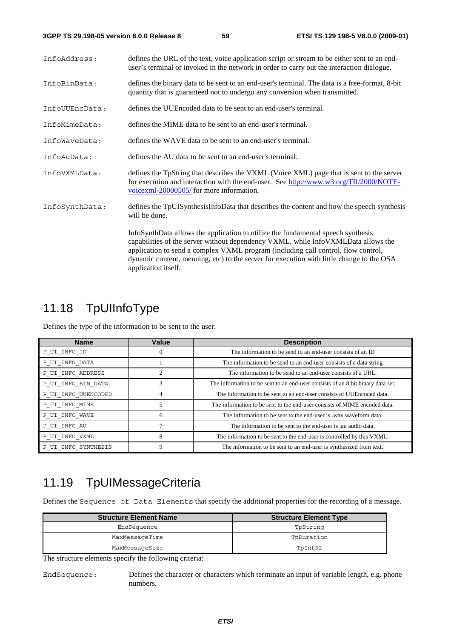| InfoAddress:   | defines the URL of the text, voice application script or stream to be either sent to an end-<br>user's terminal or invoked in the network in order to carry out the interaction dialogue.                                                                                                                                                                                     |
|----------------|-------------------------------------------------------------------------------------------------------------------------------------------------------------------------------------------------------------------------------------------------------------------------------------------------------------------------------------------------------------------------------|
| InfoBinData:   | defines the binary data to be sent to an end-user's terminal. The data is a free-format, 8-bit<br>quantity that is guaranteed not to undergo any conversion when transmitted.                                                                                                                                                                                                 |
| InfoUUEncData: | defines the UUE ncoded data to be sent to an end-user's terminal.                                                                                                                                                                                                                                                                                                             |
| InfoMimeData:  | defines the MIME data to be sent to an end-user's terminal.                                                                                                                                                                                                                                                                                                                   |
| InfoWaveData:  | defines the WAVE data to be sent to an end-user's terminal.                                                                                                                                                                                                                                                                                                                   |
| InfoAuData:    | defines the AU data to be sent to an end-user's terminal.                                                                                                                                                                                                                                                                                                                     |
| InfoVXMLData:  | defines the TpString that describes the VXML (Voice XML) page that is sent to the server<br>for execution and interaction with the end-user. See http://www.w3.org/TR/2000/NOTE-<br>voicexml-20000505/ for more information.                                                                                                                                                  |
| InfoSynthData: | defines the TpUIS ynthesis InfoData that describes the content and how the speech synthesis<br>will be done.                                                                                                                                                                                                                                                                  |
|                | InfoSynthData allows the application to utilize the fundamental speech synthesis<br>capabilities of the server without dependency VXML, while InfoVXMLData allows the<br>application to send a complex VXML program (including call control, flow control,<br>dynamic content, menuing, etc) to the server for execution with little change to the OSA<br>application itself. |

# 11.18 TpUIInfoType

Defines the type of the information to be sent to the user.

| <b>Name</b>         | Value | <b>Description</b>                                                              |
|---------------------|-------|---------------------------------------------------------------------------------|
| P UI INFO ID        | 0     | The information to be send to an end-user consists of an ID                     |
| P UI INFO DATA      |       | The information to be send to an end-user consists of a data string             |
| P UI INFO ADDRESS   |       | The information to be send to an end-user consists of a URL.                    |
| P UI INFO BIN DATA  | 3     | The information to be sent to an end-user consists of an 8 bit binary data set. |
| P UI INFO UUENCODED | 4     | The information to be sent to an end-user consists of UUE ncoded data.          |
| P UI INFO MIME      | 5     | The information to be sent to the end-user consists of MIME encoded data.       |
| P UI INFO WAVE      | 6     | The information to be sent to the end-user is , way waveform data.              |
| P UI INFO AU        |       | The information to be sent to the end-user is a u audio data.                   |
| P UI INFO VXML      | 8     | The information to be sent to the end-user is controlled by this VXML.          |
| P UI INFO SYNTHESIS | 9     | The information to be sent to an end-user is synthesized from text.             |

# 11.19 TpUIMessageCriteria

Defines the Sequence of Data Elements that specify the additional properties for the recording of a message.

| <b>Structure Element Name</b> | <b>Structure Element Type</b> |
|-------------------------------|-------------------------------|
| EndSequence                   | TpString                      |
| MaxMessageTime                | TpDuration                    |
| MaxMessaqeSize                | TpInt32                       |

The structure elements specify the following criteria:

EndSequence: Defines the character or characters which terminate an input of variable length, e.g. phone numbers.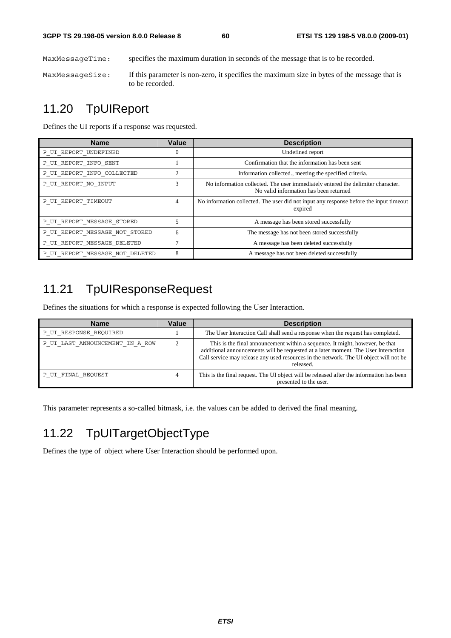MaxMessageTime: specifies the maximum duration in seconds of the message that is to be recorded.

MaxMessageSize: If this parameter is non-zero, it specifies the maximum size in bytes of the message that is to be recorded.

### 11.20 TpUIReport

Defines the UI reports if a response was requested.

| <b>Name</b>                     | Value    | <b>Description</b>                                                                                                        |
|---------------------------------|----------|---------------------------------------------------------------------------------------------------------------------------|
| P UI REPORT UNDEFINED           | $\theta$ | Undefined report                                                                                                          |
| P UI REPORT INFO SENT           |          | Confirmation that the information has been sent                                                                           |
| P UI REPORT INFO COLLECTED      | 2        | Information collected., meeting the specified criteria.                                                                   |
| P UI REPORT NO INPUT            | 3        | No information collected. The user immediately entered the delimiter character.<br>No valid information has been returned |
| P UI REPORT TIMEOUT             | 4        | No information collected. The user did not input any response before the input timeout<br>expired                         |
| P UI REPORT MESSAGE STORED      | 5        | A message has been stored successfully                                                                                    |
| P UI REPORT MESSAGE NOT STORED  | 6        | The message has not been stored successfully                                                                              |
| P UI REPORT MESSAGE DELETED     | ┑        | A message has been deleted successfully                                                                                   |
| P_UI_REPORT_MESSAGE NOT DELETED | 8        | A message has not been deleted successfully                                                                               |

# 11.21 TpUIResponseRequest

Defines the situations for which a response is expected following the User Interaction.

| <b>Name</b>                     | Value | <b>Description</b>                                                                                                                                                                                                                                                       |
|---------------------------------|-------|--------------------------------------------------------------------------------------------------------------------------------------------------------------------------------------------------------------------------------------------------------------------------|
| P UI RESPONSE REQUIRED          |       | The User Interaction Call shall send a response when the request has completed.                                                                                                                                                                                          |
| P UI LAST ANNOUNCEMENT IN A ROW |       | This is the final announcement within a sequence. It might, however, be that<br>additional announcements will be requested at a later moment. The User Interaction<br>Call service may release any used resources in the network. The UI object will not be<br>released. |
| P UI FINAL REOUEST              |       | This is the final request. The UI object will be released after the information has been<br>presented to the user.                                                                                                                                                       |

This parameter represents a so-called bitmask, i.e. the values can be added to derived the final meaning.

# 11.22 TpUITargetObjectType

Defines the type of object where User Interaction should be performed upon.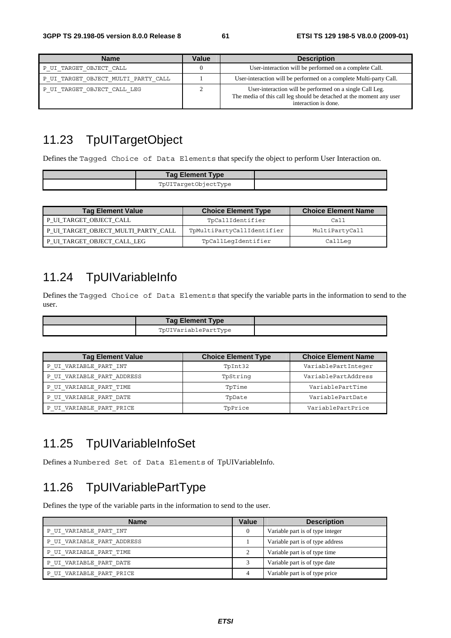| <b>Name</b>                         | Value | <b>Description</b>                                                                                                                                       |
|-------------------------------------|-------|----------------------------------------------------------------------------------------------------------------------------------------------------------|
| P UI TARGET OBJECT CALL             |       | User-interaction will be performed on a complete Call.                                                                                                   |
| P UI TARGET OBJECT MULTI PARTY CALL |       | User-interaction will be performed on a complete Multi-party Call.                                                                                       |
| P UI TARGET OBJECT CALL LEG         |       | User-interaction will be performed on a single Call Leg.<br>The media of this call leg should be detached at the moment any user<br>interaction is done. |

# 11.23 TpUITargetObject

Defines the Tagged Choice of Data Elements that specify the object to perform User Interaction on.

| <b>Tag Element Type</b> |  |
|-------------------------|--|
| TpUITargetObjectType    |  |

| <b>Tag Element Value</b>            | <b>Choice Element Type</b> | <b>Choice Element Name</b> |
|-------------------------------------|----------------------------|----------------------------|
| P UI TARGET OBJECT CALL             | TpCallIdentifier           | Call                       |
| P_UI_TARGET_OBJECT_MULTI_PARTY_CALL | TpMultiPartyCallIdentifier | MultiPartyCall             |
| P_UI_TARGET_OBJECT_CALL_LEG         | TpCallLeqIdentifier        | CallLeq                    |

# 11.24 TpUIVariableInfo

Defines the Tagged Choice of Data Elements that specify the variable parts in the information to send to the user.

| <b>Tag Element Type</b> |  |
|-------------------------|--|
| TpUIVariablePartType    |  |

| <b>Tag Element Value</b>   | <b>Choice Element Type</b> | <b>Choice Element Name</b> |
|----------------------------|----------------------------|----------------------------|
| P UI VARIABLE PART INT     | TpInt32                    | VariablePartInteger        |
| P UI VARIABLE PART ADDRESS | TpString                   | VariablePartAddress        |
| P UI VARIABLE PART TIME    | TpTime                     | VariablePartTime           |
| P UI VARIABLE PART DATE    | TpDate                     | VariablePartDate           |
| P UI VARIABLE PART PRICE   | TpPrice                    | VariablePartPrice          |

### 11.25 TpUIVariableInfoSet

Defines a Numbered Set of Data Elements of TpUIVariableInfo.

# 11.26 TpUIVariablePartType

Defines the type of the variable parts in the information to send to the user.

| <b>Name</b>                | Value | <b>Description</b>               |
|----------------------------|-------|----------------------------------|
| P UI VARIABLE PART INT     | 0     | Variable part is of type integer |
| P UI VARIABLE PART ADDRESS |       | Variable part is of type address |
| P UI VARIABLE PART TIME    |       | Variable part is of type time    |
| P UI VARIABLE PART DATE    |       | Variable part is of type date    |
| P UI VARIABLE PART PRICE   | 4     | Variable part is of type price   |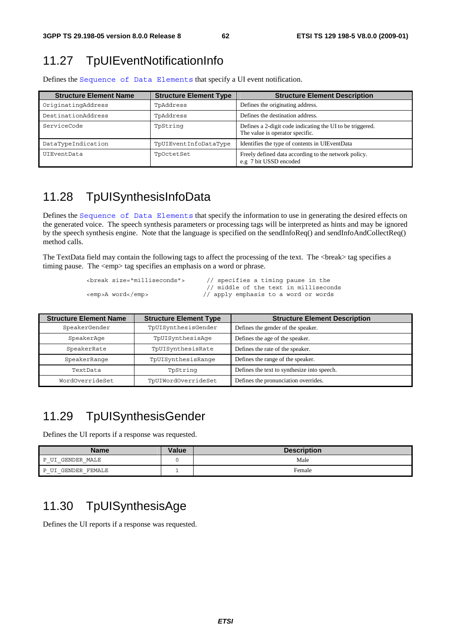### 11.27 TpUIEventNotificationInfo

| <b>Structure Element Name</b> | <b>Structure Element Type</b> | <b>Structure Element Description</b>                                                         |
|-------------------------------|-------------------------------|----------------------------------------------------------------------------------------------|
| OriginatingAddress            | TpAddress                     | Defines the originating address.                                                             |
| DestinationAddress            | TpAddress                     | Defines the destination address.                                                             |
| ServiceCode                   | TpString                      | Defines a 2-digit code indicating the UI to be triggered.<br>The value is operator specific. |
| DataTypeIndication            | TpUIEventInfoDataType         | Identifies the type of contents in UIEventData                                               |
| UIEventData                   | TpOctetSet                    | Freely defined data according to the network policy.<br>e.g 7 bit USSD encoded               |

Defines the Sequence of Data Elements that specify a UI event notification.

### 11.28 TpUISynthesisInfoData

Defines the Sequence of Data Elements that specify the information to use in generating the desired effects on the generated voice. The speech synthesis parameters or processing tags will be interpreted as hints and may be ignored by the speech synthesis engine. Note that the language is specified on the sendInfoReq() and sendInfoAndCollectReq() method calls.

The TextData field may contain the following tags to affect the processing of the text. The <br/>lower and specifies a timing pause. The <emp> tag specifies an emphasis on a word or phrase.

```
 <break size="milliseconds"> // specifies a timing pause in the
```
// middle of the text in milliseconds<br>
// apply emphasis to a word or words<br>
// apply emphasis to a word or words  $\frac{1}{4}$  apply emphasis to a word or words

| <b>Structure Element Name</b> | <b>Structure Element Type</b> | <b>Structure Element Description</b>        |
|-------------------------------|-------------------------------|---------------------------------------------|
| SpeakerGender                 | TpUISynthesisGender           | Defines the gender of the speaker.          |
| SpeakerAqe                    | TpUISynthesisAqe              | Defines the age of the speaker.             |
| SpeakerRate                   | TpUISynthesisRate             | Defines the rate of the speaker.            |
| SpeakerRange                  | TpUISynthesisRange            | Defines the range of the speaker.           |
| TextData                      | TpString                      | Defines the text to synthesize into speech. |
| WordOverrideSet               | TpUIWordOverrideSet           | Defines the pronunciation overrides.        |

### 11.29 TpUISynthesisGender

Defines the UI reports if a response was requested.

| <b>Name</b>                       | Value | <b>Description</b> |
|-----------------------------------|-------|--------------------|
| GENDER MALE<br>דדד כד<br>$-$<br>- |       | Male               |
| GENDER FEMALE<br>D                |       | Female             |

### 11.30 TpUISynthesisAge

Defines the UI reports if a response was requested.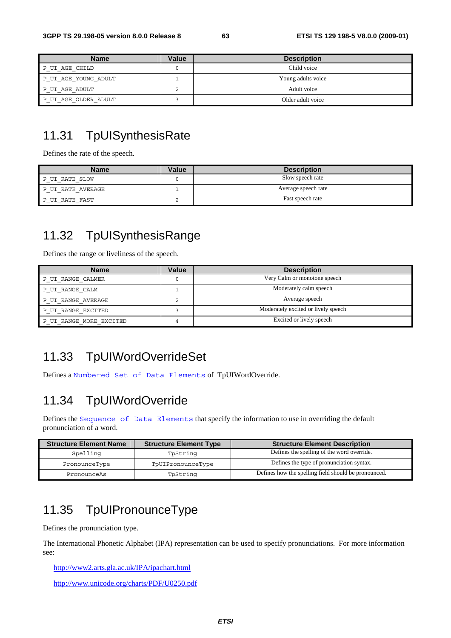| <b>Name</b>          | <b>Value</b> | <b>Description</b> |
|----------------------|--------------|--------------------|
| P UI AGE CHILD       |              | Child voice        |
| P UI AGE YOUNG ADULT |              | Young adults voice |
| P UI AGE ADULT       |              | Adult voice        |
| P UI AGE OLDER ADULT |              | Older adult voice  |

### 11.31 TpUISynthesisRate

Defines the rate of the speech.

| <b>Name</b>       | Value | <b>Description</b>  |
|-------------------|-------|---------------------|
| P UI RATE SLOW    |       | Slow speech rate    |
| P UI RATE AVERAGE |       | Average speech rate |
| P UI RATE FAST    |       | Fast speech rate    |

# 11.32 TpUISynthesisRange

Defines the range or liveliness of the speech.

| <b>Name</b>             | <b>Value</b> | <b>Description</b>                  |
|-------------------------|--------------|-------------------------------------|
| P UI RANGE CALMER       |              | Very Calm or monotone speech        |
| P UI RANGE CALM         |              | Moderately calm speech              |
| P UI RANGE AVERAGE      |              | Average speech                      |
| P UI RANGE EXCITED      |              | Moderately excited or lively speech |
| P UI RANGE MORE EXCITED |              | Excited or lively speech            |

# 11.33 TpUIWordOverrideSet

Defines a Numbered Set of Data Elements of TpUIWordOverride.

### 11.34 TpUIWordOverride

Defines the Sequence of Data Elements that specify the information to use in overriding the default pronunciation of a word.

| <b>Structure Element Name</b> | <b>Structure Element Type</b> | <b>Structure Element Description</b>                 |
|-------------------------------|-------------------------------|------------------------------------------------------|
| Spelling                      | TpString                      | Defines the spelling of the word override.           |
| PronounceType                 | TpUIPronounceType             | Defines the type of pronunciation syntax.            |
| PronounceAs                   | TpString                      | Defines how the spelling field should be pronounced. |

# 11.35 TpUIPronounceType

Defines the pronunciation type.

The International Phonetic Alphabet (IPA) representation can be used to specify pronunciations. For more information see:

<http://www2.arts.gla.ac.uk/IPA/ipachart.html>

<http://www.unicode.org/charts/PDF/U0250.pdf>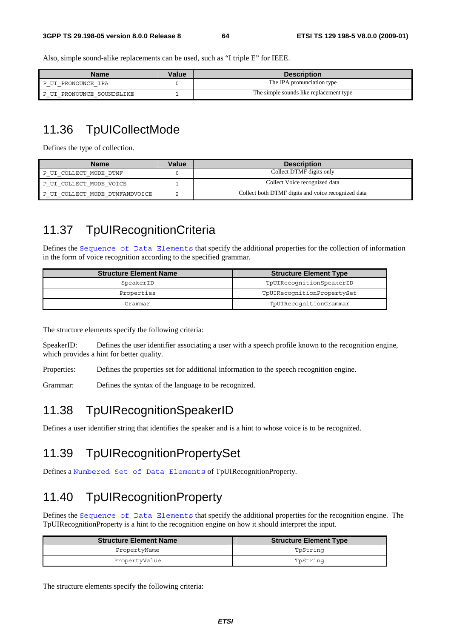Also, simple sound-alike replacements can be used, such as "I triple E" for IEEE.

| <b>Name</b>                 | Value | <b>Description</b>                      |
|-----------------------------|-------|-----------------------------------------|
| : PRONOUNCE IPA             |       | The IPA pronunciation type              |
| PRONOUNCE SOUNDSLIKE<br>$-$ |       | The simple sounds like replacement type |

# 11.36 TpUICollectMode

Defines the type of collection.

| <b>Name</b>                    | Value | <b>Description</b>                                 |
|--------------------------------|-------|----------------------------------------------------|
| P UI COLLECT MODE DTMF         |       | Collect DTMF digits only                           |
| P UI COLLECT MODE VOICE        |       | Collect Voice recognized data                      |
| P UI COLLECT MODE DTMFANDVOICE |       | Collect both DTMF digits and voice recognized data |

### 11.37 TpUIRecognitionCriteria

Defines the Sequence of Data Elements that specify the additional properties for the collection of information in the form of voice recognition according to the specified grammar.

| <b>Structure Element Name</b> | <b>Structure Element Type</b> |
|-------------------------------|-------------------------------|
| SpeakerID                     | TpUIRecognitionSpeakerID      |
| Properties                    | TpUIRecognitionPropertySet    |
| Grammar                       | TpUIRecognitionGrammar        |

The structure elements specify the following criteria:

SpeakerID: Defines the user identifier associating a user with a speech profile known to the recognition engine, which provides a hint for better quality.

Properties: Defines the properties set for additional information to the speech recognition engine.

Grammar: Defines the syntax of the language to be recognized.

### 11.38 TpUIRecognitionSpeakerID

Defines a user identifier string that identifies the speaker and is a hint to whose voice is to be recognized.

### 11.39 TpUIRecognitionPropertySet

Defines a Numbered Set of Data Elements of TpUIRecognitionProperty.

### 11.40 TpUIRecognitionProperty

Defines the Sequence of Data Elements that specify the additional properties for the recognition engine. The TpUIRecognitionProperty is a hint to the recognition engine on how it should interpret the input.

| <b>Structure Element Name</b> | <b>Structure Element Type</b> |
|-------------------------------|-------------------------------|
| PropertyName                  | TpString                      |
| PropertyValue                 | TpString                      |

The structure elements specify the following criteria: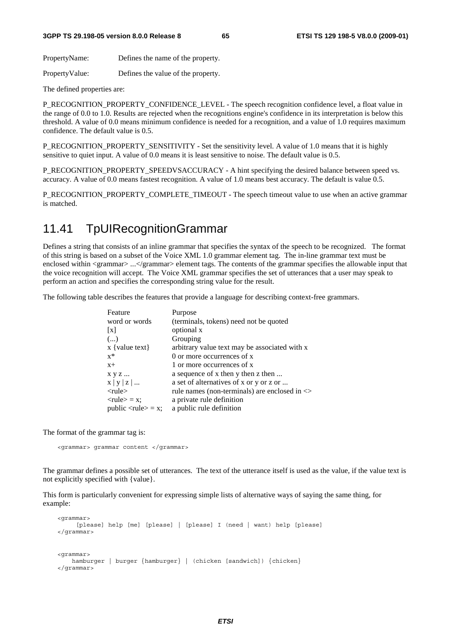PropertyName: Defines the name of the property.

PropertyValue: Defines the value of the property.

The defined properties are:

P\_RECOGNITION\_PROPERTY\_CONFIDENCE\_LEVEL - The speech recognition confidence level, a float value in the range of 0.0 to 1.0. Results are rejected when the recognitions engine's confidence in its interpretation is below this threshold. A value of 0.0 means minimum confidence is needed for a recognition, and a value of 1.0 requires maximum confidence. The default value is 0.5.

P\_RECOGNITION\_PROPERTY\_SENSITIVITY - Set the sensitivity level. A value of 1.0 means that it is highly sensitive to quiet input. A value of 0.0 means it is least sensitive to noise. The default value is 0.5.

P\_RECOGNITION\_PROPERTY\_SPEEDVSACCURACY - A hint specifying the desired balance between speed vs. accuracy. A value of 0.0 means fastest recognition. A value of 1.0 means best accuracy. The default is value 0.5.

P\_RECOGNITION\_PROPERTY\_COMPLETE\_TIMEOUT - The speech timeout value to use when an active grammar is matched.

### 11.41 TpUIRecognitionGrammar

Defines a string that consists of an inline grammar that specifies the syntax of the speech to be recognized. The format of this string is based on a subset of the Voice XML 1.0 grammar element tag. The in-line grammar text must be enclosed within <grammar> ...</grammar> element tags. The contents of the grammar specifies the allowable input that the voice recognition will accept. The Voice XML grammar specifies the set of utterances that a user may speak to perform an action and specifies the corresponding string value for the result.

The following table describes the features that provide a language for describing context-free grammars.

| Feature                                    | Purpose                                           |
|--------------------------------------------|---------------------------------------------------|
| word or words                              | (terminals, tokens) need not be quoted            |
| $\lceil x \rceil$                          | optional x                                        |
| ()                                         | Grouping                                          |
| $x \{ value text\}$                        | arbitrary value text may be associated with x     |
| $x^*$                                      | 0 or more occurrences of x                        |
| $X +$                                      | 1 or more occurrences of x                        |
| x y z                                      | a sequence of x then y then z then                |
| x   y   z                                  | a set of alternatives of x or y or z or           |
| $<$ rule $>$                               | rule names (non-terminals) are enclosed in $\leq$ |
| $<$ rule $>$ = x:                          | a private rule definition                         |
| public $\langle \text{rule} \rangle = x$ ; | a public rule definition                          |

The format of the grammar tag is:

<grammar> grammar content </grammar>

The grammar defines a possible set of utterances. The text of the utterance itself is used as the value, if the value text is not explicitly specified with {value}.

This form is particularly convenient for expressing simple lists of alternative ways of saying the same thing, for example:

```
 <grammar> 
      [please] help [me] [please] | [please] I (need | want) help [please] 
 </grammar> 
 <grammar> 
    hamburger | burger {hamburger} | (chicken [sandwich]) {chicken} 
 </grammar>
```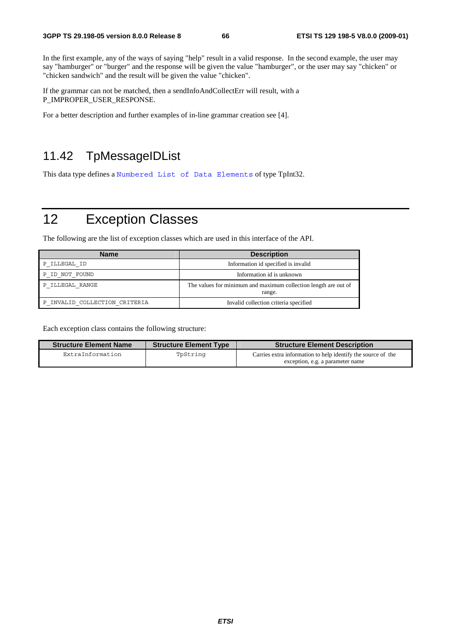In the first example, any of the ways of saying "help" result in a valid response. In the second example, the user may say "hamburger" or "burger" and the response will be given the value "hamburger", or the user may say "chicken" or "chicken sandwich" and the result will be given the value "chicken".

If the grammar can not be matched, then a sendInfoAndCollectErr will result, with a P\_IMPROPER\_USER\_RESPONSE.

For a better description and further examples of in-line grammar creation see [4].

# 11.42 TpMessageIDList

This data type defines a Numbered List of Data Elements of type TpInt32.

# 12 Exception Classes

The following are the list of exception classes which are used in this interface of the API.

| <b>Name</b>                   | <b>Description</b>                                                        |
|-------------------------------|---------------------------------------------------------------------------|
| P ILLEGAL ID                  | Information id specified is invalid                                       |
| P ID NOT FOUND                | Information id is unknown                                                 |
| P ILLEGAL RANGE               | The values for minimum and maximum collection length are out of<br>range. |
| P INVALID COLLECTION CRITERIA | Invalid collection criteria specified                                     |

Each exception class contains the following structure:

| <b>Structure Element Type</b> | <b>Structure Element Description</b>                                                             |
|-------------------------------|--------------------------------------------------------------------------------------------------|
| TpString                      | Carries extra information to help identify the source of the<br>exception, e.g. a parameter name |
|                               |                                                                                                  |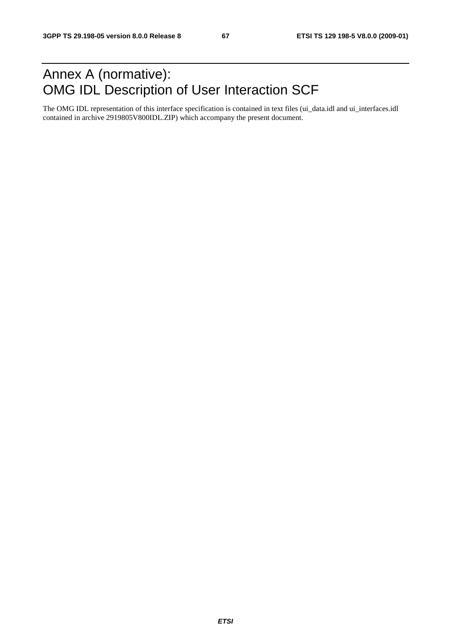# Annex A (normative): OMG IDL Description of User Interaction SCF

The OMG IDL representation of this interface specification is contained in text files (ui\_data.idl and ui\_interfaces.idl contained in archive 2919805V800IDL.ZIP) which accompany the present document.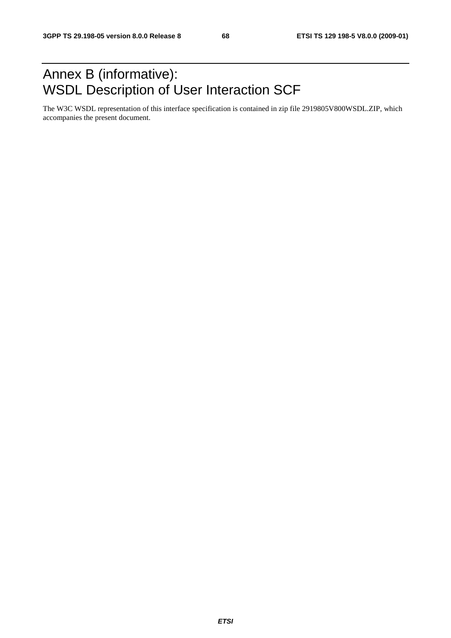# Annex B (informative): WSDL Description of User Interaction SCF

The W3C WSDL representation of this interface specification is contained in zip file 2919805V800WSDL.ZIP, which accompanies the present document.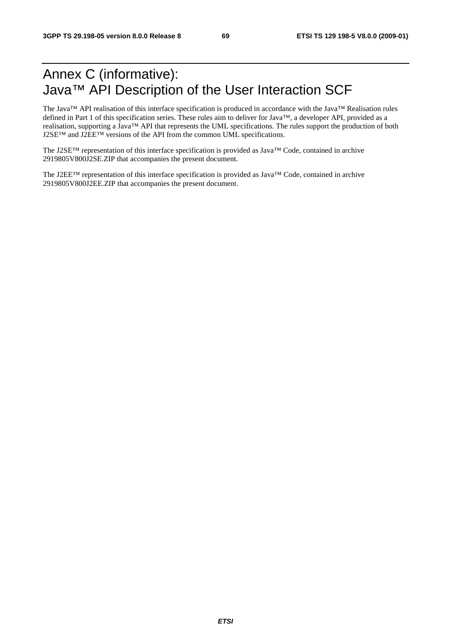# Annex C (informative): Java™ API Description of the User Interaction SCF

The Java™ API realisation of this interface specification is produced in accordance with the Java™ Realisation rules defined in Part 1 of this specification series. These rules aim to deliver for Java™, a developer API, provided as a realisation, supporting a Java™ API that represents the UML specifications. The rules support the production of both J2SE™ and J2EE™ versions of the API from the common UML specifications.

The J2SE™ representation of this interface specification is provided as Java™ Code, contained in archive 2919805V800J2SE.ZIP that accompanies the present document.

The J2EE™ representation of this interface specification is provided as Java™ Code, contained in archive 2919805V800J2EE.ZIP that accompanies the present document.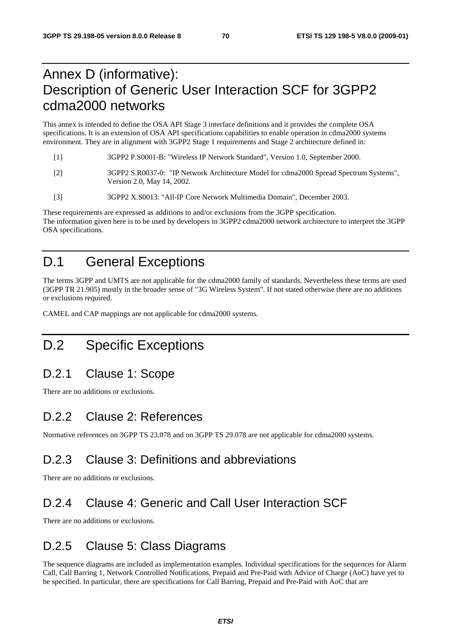# Annex D (informative): Description of Generic User Interaction SCF for 3GPP2 cdma2000 networks

This annex is intended to define the OSA API Stage 3 interface definitions and it provides the complete OSA specifications. It is an extension of OSA API specifications capabilities to enable operation in cdma2000 systems environment. They are in alignment with 3GPP2 Stage 1 requirements and Stage 2 architecture defined in:

- [1] 3GPP2 P.S0001-B: "Wireless IP Network Standard", Version 1.0, September 2000.
- [2] 3GPP2 S.R0037-0: "IP Network Architecture Model for cdma2000 Spread Spectrum Systems", Version 2.0, May 14, 2002.
- [3] 3GPP2 X.S0013: "All-IP Core Network Multimedia Domain", December 2003.

These requirements are expressed as additions to and/or exclusions from the 3GPP specification. The information given here is to be used by developers in 3GPP2 cdma2000 network architecture to interpret the 3GPP OSA specifications.

# D.1 General Exceptions

The terms 3GPP and UMTS are not applicable for the cdma2000 family of standards. Nevertheless these terms are used (3GPP TR 21.905) mostly in the broader sense of "3G Wireless System". If not stated otherwise there are no additions or exclusions required.

CAMEL and CAP mappings are not applicable for cdma2000 systems.

# D.2 Specific Exceptions

### D.2.1 Clause 1: Scope

There are no additions or exclusions.

### D.2.2 Clause 2: References

Normative references on 3GPP TS 23.078 and on 3GPP TS 29.078 are not applicable for cdma2000 systems.

### D.2.3 Clause 3: Definitions and abbreviations

There are no additions or exclusions.

# D.2.4 Clause 4: Generic and Call User Interaction SCF

There are no additions or exclusions.

### D.2.5 Clause 5: Class Diagrams

The sequence diagrams are included as implementation examples. Individual specifications for the sequences for Alarm Call, Call Barring 1, Network Controlled Notifications, Prepaid and Pre-Paid with Advice of Charge (AoC) have yet to be specified. In particular, there are specifications for Call Barring, Prepaid and Pre-Paid with AoC that are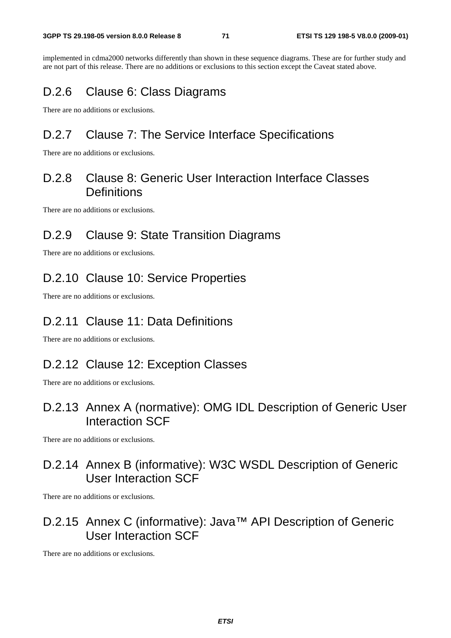implemented in cdma2000 networks differently than shown in these sequence diagrams. These are for further study and are not part of this release. There are no additions or exclusions to this section except the Caveat stated above.

### D.2.6 Clause 6: Class Diagrams

There are no additions or exclusions.

### D.2.7 Clause 7: The Service Interface Specifications

There are no additions or exclusions.

### D.2.8 Clause 8: Generic User Interaction Interface Classes **Definitions**

There are no additions or exclusions.

### D.2.9 Clause 9: State Transition Diagrams

There are no additions or exclusions.

### D.2.10 Clause 10: Service Properties

There are no additions or exclusions.

### D.2.11 Clause 11: Data Definitions

There are no additions or exclusions.

### D.2.12 Clause 12: Exception Classes

There are no additions or exclusions.

### D.2.13 Annex A (normative): OMG IDL Description of Generic User Interaction SCF

There are no additions or exclusions.

### D.2.14 Annex B (informative): W3C WSDL Description of Generic User Interaction SCF

There are no additions or exclusions.

### D.2.15 Annex C (informative): Java™ API Description of Generic User Interaction SCF

There are no additions or exclusions.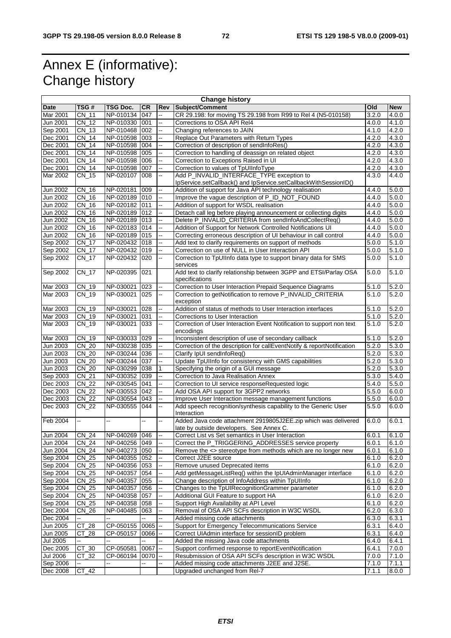## Annex E (informative): Change history

| <b>Change history</b> |                              |                 |                |                          |                                                                                                                          |                |                |  |
|-----------------------|------------------------------|-----------------|----------------|--------------------------|--------------------------------------------------------------------------------------------------------------------------|----------------|----------------|--|
| Date                  | TSG #                        | <b>TSG Doc.</b> | <b>CR</b>      | Rev                      | Subject/Comment                                                                                                          | Old            | <b>New</b>     |  |
| Mar 2001              | CN 11                        | NP-010134       | 047            | цĹ,                      | CR 29.198: for moving TS 29.198 from R99 to Rel 4 (N5-010158)                                                            | 3.2.0          | 4.0.0          |  |
| Jun 2001              | CN 12                        | NP-010330       | 001            | цý,                      | Corrections to OSA API Rel4                                                                                              | 4.0.0          | 4.1.0          |  |
| Sep 2001              | CN 13                        | NP-010468       | 002            | $\overline{\phantom{a}}$ | Changing references to JAIN                                                                                              | 4.1.0          | 4.2.0          |  |
| Dec 2001              | CN 14                        | NP-010598       | 003            | ц.                       | Replace Out Parameters with Return Types                                                                                 | 4.2.0          | 4.3.0          |  |
| Dec 2001              | CN 14                        | NP-010598       | 004            | цĹ,                      | Correction of description of sendInfoRes()                                                                               | 4.2.0          | 4.3.0          |  |
| Dec 2001              | <b>CN 14</b>                 | NP-010598       | 005            | --                       | Correction to handling of deassign on related object                                                                     | 4.2.0          | 4.3.0          |  |
| Dec 2001              | CN 14                        | NP-010598       | 006            |                          | Correction to Exceptions Raised in UI                                                                                    | 4.2.0          | 4.3.0          |  |
| Dec 2001              | CN 14                        | NP-010598       | 007            | u.                       | Correction to values of TpUIInfoType                                                                                     | 4.2.0          | 4.3.0          |  |
| Mar 2002              | CN_15                        | NP-020107       | 008            | --                       | Add P_INVALID_INTERFACE_TYPE exception to                                                                                | 4.3.0          | 4.4.0          |  |
|                       |                              |                 |                |                          | IpService.setCallback() and IpService.setCallbackWithSessionID()                                                         |                |                |  |
| Jun 2002              | $CN_16$                      | NP-020181       | 009            | --                       | Addition of support for Java API technology realisation                                                                  | 4.4.0          | 5.0.0          |  |
| Jun 2002              | CN 16                        | NP-020189 010   |                | $\overline{\phantom{a}}$ | Improve the vague description of P_ID_NOT_FOUND                                                                          | 4.4.0          | 5.0.0          |  |
| Jun 2002              | CN 16                        | NP-020182       | 011            | Ξ.                       | Addition of support for WSDL realisation                                                                                 | 4.4.0          | 5.0.0          |  |
| Jun 2002              | $CN_16$                      | NP-020189 012   |                | $\overline{\phantom{a}}$ | Detach call leg before playing announcement or collecting digits                                                         | 4.4.0          | 5.0.0          |  |
| Jun 2002              | $CN_16$                      | NP-020189 013   |                | $\mathbf{u}$             | Delete P_INVALID_CRITERIA from sendInfoAndCollectReq()                                                                   | 4.4.0          | 5.0.0          |  |
| Jun 2002              | CN 16                        | NP-020183       | 014            |                          | Addition of Support for Network Controlled Notifications UI                                                              | 4.4.0          | 5.0.0          |  |
| Jun 2002              | $CN_16$                      | NP-020189       | 015            | --                       | Correcting erroneous description of UI behaviour in call control                                                         | 4.4.0          | 5.0.0          |  |
| Sep 2002              | CN 17                        | NP-020432 018   |                | $\overline{\phantom{a}}$ | Add text to clarify requirements on support of methods                                                                   | 5.0.0          | 5.1.0          |  |
| Sep 2002              | CN 17                        | NP-020432       | 019            | $\mathbb{Z}^2$           | Correction on use of NULL in User Interaction API                                                                        | 5.0.0          | 5.1.0          |  |
| Sep 2002              | $CN_17$                      | NP-020432       | 020            | $\overline{\phantom{a}}$ | Correction to TpUIInfo data type to support binary data for SMS                                                          | 5.0.0          | 5.1.0          |  |
|                       |                              |                 |                |                          | services                                                                                                                 |                |                |  |
| Sep 2002              | $CN_17$                      | NP-020395       | 021            |                          | Add text to clarify relationship between 3GPP and ETSI/Parlay OSA                                                        | 5.0.0          | 5.1.0          |  |
|                       |                              |                 |                |                          | specifications                                                                                                           |                |                |  |
| Mar 2003              | $\overline{CN}$ 19           | NP-030021       | 023            | Щ,                       | Correction to User Interaction Prepaid Sequence Diagrams                                                                 | 5.1.0          | 5.2.0          |  |
| Mar 2003              | CN_19                        | NP-030021       | 025            | Ξ.                       | Correction to getNotification to remove P_INVALID_CRITERIA                                                               | 5.1.0          | 5.2.0          |  |
|                       |                              |                 |                |                          | exception                                                                                                                |                |                |  |
| Mar 2003              | CN_19                        | NP-030021       | 028            | цц.                      | Addition of status of methods to User Interaction interfaces                                                             | 5.1.0          | 5.2.0          |  |
| Mar 2003              | $CN_19$                      | NP-030021       | 031            |                          | Corrections to User Interaction                                                                                          | 5.1.0          | 5.2.0          |  |
| Mar 2003              | CN_19                        | NP-030021       | 033            |                          | Correction of User Interaction Event Notification to support non text                                                    | 5.1.0          | 5.2.0          |  |
|                       |                              |                 |                |                          | encodings                                                                                                                |                |                |  |
| Mar 2003              | CN 19                        | NP-030033 029   |                | $\overline{\phantom{a}}$ | Inconsistent description of use of secondary callback                                                                    | 5.1.0          | 5.2.0          |  |
| Jun 2003              | CN 20                        | NP-030238       | 035            | Ξ.                       | Correction of the description for callEventNotify & reportNotification                                                   | 5.2.0          | 5.3.0          |  |
| Jun 2003              | CN_20                        | NP-030244       | 036            | $\overline{\phantom{a}}$ | Clarify IpUI sendInfoReq()                                                                                               | 5.2.0          | 5.3.0          |  |
| Jun 2003              | CN_20                        | NP-030244 037   |                | Ξ.                       | Update TpUIInfo for consistency with GMS capabilities                                                                    | 5.2.0          | 5.3.0          |  |
| Jun 2003              | CN 20                        | NP-030299       | 038            | $\mathbf{1}$             | Specifying the origin of a GUI message                                                                                   | 5.2.0          | 5.3.0          |  |
| Sep 2003              | CN_21                        | NP-030352       | 039            | --                       | Correction to Java Realisation Annex                                                                                     | 5.3.0          | 5.4.0          |  |
| Dec 2003<br>Dec 2003  | <b>CN 22</b><br><b>CN 22</b> | NP-030545       | 041            | цц.<br>цĹ,               | Correction to UI service responseRequested logic                                                                         | 5.4.0          | 5.5.0<br>6.0.0 |  |
|                       |                              | NP-030553       | 042            |                          | Add OSA API support for 3GPP2 networks                                                                                   | 5.5.0          |                |  |
| Dec 2003<br>Dec 2003  | CN_22                        | NP-030554       | 043<br>044     | $\overline{\phantom{a}}$ | Improve User Interaction message management functions<br>Add speech recognition/synthesis capability to the Generic User | 5.5.0<br>5.5.0 | 6.0.0          |  |
|                       | CN_22                        | NP-030555       |                | ц.                       | Interaction                                                                                                              |                | 6.0.0          |  |
| Feb 2004              | --                           | μ.              | Щ,             | $\overline{\phantom{a}}$ | Added Java code attachment 2919805J2EE.zip which was delivered                                                           | 6.0.0          | 6.0.1          |  |
|                       |                              |                 |                |                          | late by outside developers. See Annex C.                                                                                 |                |                |  |
| <b>Jun 2004</b>       | CN <sub>24</sub>             | NP-040269 046   |                |                          | Correct List vs Set semantics in User Interaction                                                                        | 6.0.1          | 6.1.0          |  |
| <b>Jun 2004</b>       | CN_24                        | NP-040256 049   |                | --                       | Correct the P_TRIGGERING_ADDRESSES service property                                                                      | 6.0.1          | 6.1.0          |  |
| Jun 2004              | CN_24                        | NP-040273 050   |                | $\overline{\phantom{a}}$ | Remove the <> stereotype from methods which are no longer new                                                            | 6.0.1          | 6.1.0          |  |
| Sep 2004              | $CN_25$                      | NP-040355 052   |                | Ξ.                       | Correct J2EE source                                                                                                      | 6.1.0          | 6.2.0          |  |
| Sep 2004              | CN_25                        | NP-040356 053   |                | ц.                       | Remove unused Deprecated items                                                                                           | 6.1.0          | 6.2.0          |  |
| Sep 2004              | CN_25                        | NP-040357 054   |                |                          | Add getMessageListReq() within the IpUIAdminManager interface                                                            | 6.1.0          | 6.2.0          |  |
| Sep 2004              | $CN_25$                      | NP-040357       | 055            | --                       | Change description of InfoAddress within TpUIInfo                                                                        | 6.1.0          | 6.2.0          |  |
| Sep 2004              | CN_25                        | NP-040357       | 056            | 44                       | Changes to the TpUIRecognitionGrammer parameter                                                                          | 6.1.0          | 6.2.0          |  |
| Sep 2004              | CN_25                        | NP-040358       | 057            |                          | Additional GUI Feature to support HA                                                                                     | 6.1.0          | 6.2.0          |  |
| Sep 2004              | 25<br>CN                     | NP-040358       | 058            | --                       | Support High Availability at API Level                                                                                   | 6.1.0          | 6.2.0          |  |
| Dec 2004              | $CN_26$                      | NP-040485       | 063            | $\overline{\phantom{a}}$ | Removal of OSA API SCFs description in W3C WSDL                                                                          | 6.2.0          | 6.3.0          |  |
| Dec 2004              |                              |                 |                |                          | Added missing code attachments                                                                                           | 6.3.0          | 6.3.1          |  |
| Jun 2005              | CT.<br>$_{28}$               | CP-050155       | 0065           | $\overline{\phantom{a}}$ | Support for Emergency Telecommunications Service                                                                         | 6.3.1          | 6.4.0          |  |
| Jun 2005              | 28<br>CТ                     | CP-050157       | 0066           | $\overline{\phantom{a}}$ | Correct UIAdmin interface for sessionID problem                                                                          | 6.3.1          | 6.4.0          |  |
| <b>Jul 2005</b>       |                              |                 |                |                          | Added the missing Java code attachments                                                                                  | 6.4.0          | 6.4.1          |  |
| Dec 2005              | CT_30                        | CP-050581       | 0067           | $\rightarrow$            | Support confirmed response to reportEventNotification                                                                    | 6.4.1          | 7.0.0          |  |
| <b>Jul 2006</b>       | CT_32                        | CP-060194       | $0070$ --      |                          | Resubmission of OSA API SCFs description in W3C WSDL                                                                     | 7.0.0          | 7.1.0          |  |
| Sep 2006              | ц,                           | ш.              | $\overline{a}$ | $\overline{\phantom{a}}$ | Added missing code attachments J2EE and J2SE.                                                                            | 7.1.0          | 7.1.1          |  |
| Dec 2008              | CT_42                        |                 |                |                          | Upgraded unchanged from Rel-7                                                                                            | 7.1.1          | 8.0.0          |  |
|                       |                              |                 |                |                          |                                                                                                                          |                |                |  |